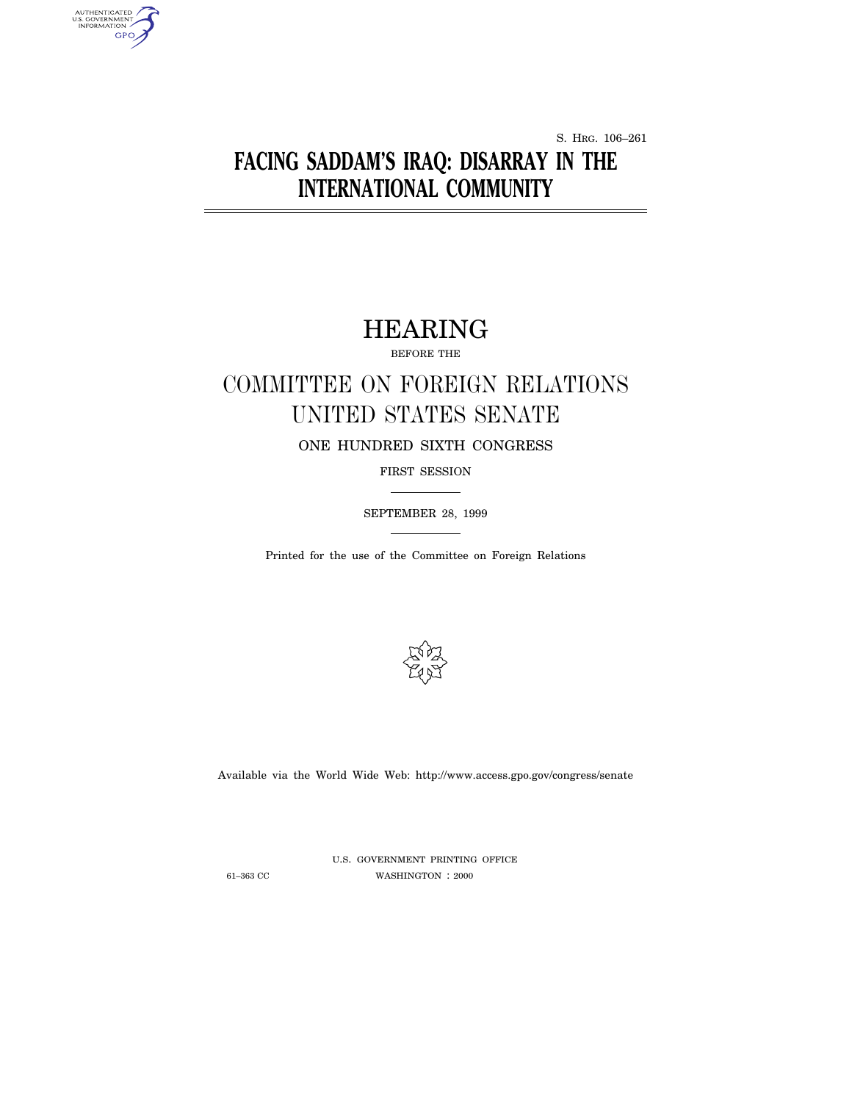S. HRG. 106–261

## **FACING SADDAM'S IRAQ: DISARRAY IN THE INTERNATIONAL COMMUNITY**

### HEARING

BEFORE THE

## COMMITTEE ON FOREIGN RELATIONS UNITED STATES SENATE

ONE HUNDRED SIXTH CONGRESS

FIRST SESSION

SEPTEMBER 28, 1999

Printed for the use of the Committee on Foreign Relations



Available via the World Wide Web: http://www.access.gpo.gov/congress/senate

AUTHENTICATED<br>U.S. GOVERNMENT<br>INFORMATION

GPO,

U.S. GOVERNMENT PRINTING OFFICE 61–363 CC WASHINGTON : 2000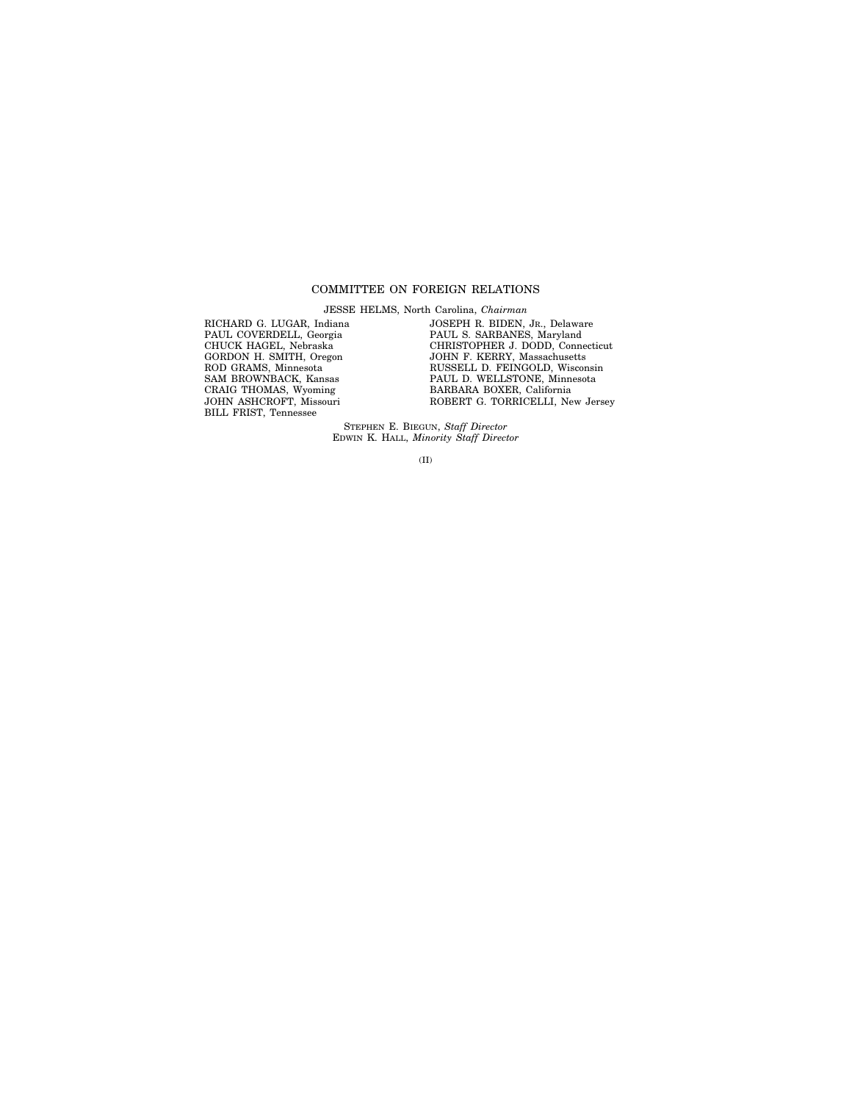#### COMMITTEE ON FOREIGN RELATIONS

JESSE HELMS, North Carolina, *Chairman*

RICHARD G. LUGAR, Indiana PAUL COVERDELL, Georgia CHUCK HAGEL, Nebraska GORDON H. SMITH, Oregon ROD GRAMS, Minnesota SAM BROWNBACK, Kansas CRAIG THOMAS, Wyoming JOHN ASHCROFT, Missouri BILL FRIST, Tennessee

JOSEPH R. BIDEN, JR., Delaware PAUL S. SARBANES, Maryland CHRISTOPHER J. DODD, Connecticut JOHN F. KERRY, Massachusetts RUSSELL D. FEINGOLD, Wisconsin PAUL D. WELLSTONE, Minnesota BARBARA BOXER, California ROBERT G. TORRICELLI, New Jersey

STEPHEN E. BIEGUN, *Staff Director* EDWIN K. HALL, *Minority Staff Director*

(II)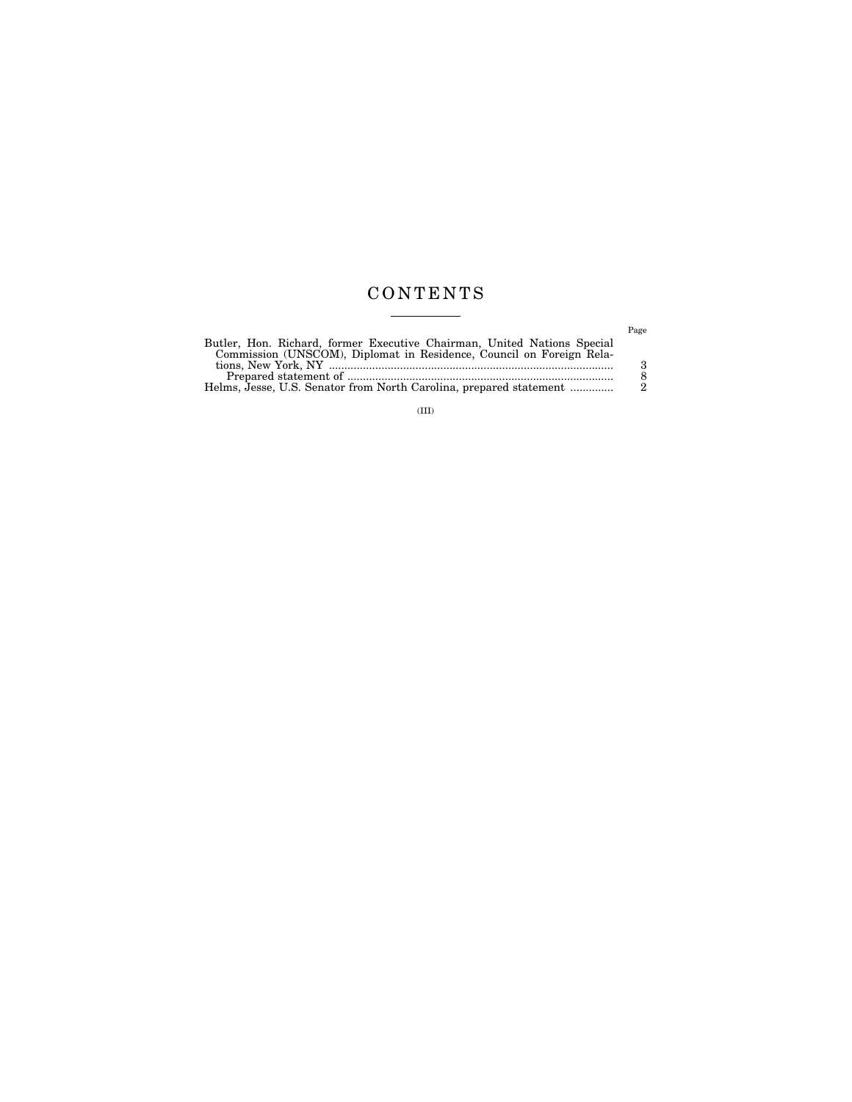#### CONTENTS  $\begin{tabular}{lcccccc} \multicolumn{2}{c|}{\textbf{1} & \textbf{1} & \textbf{1} & \textbf{1} & \textbf{1} & \textbf{1} & \textbf{1} & \textbf{1} & \textbf{1} & \textbf{1} & \textbf{1} & \textbf{1} & \textbf{1} & \textbf{1} & \textbf{1} & \textbf{1} & \textbf{1} & \textbf{1} & \textbf{1} & \textbf{1} & \textbf{1} & \textbf{1} & \textbf{1} & \textbf{1} & \textbf{1} & \textbf{1} & \textbf{1} & \textbf{1} & \textbf{$

|                                                                         | Page |
|-------------------------------------------------------------------------|------|
| Butler, Hon. Richard, former Executive Chairman, United Nations Special |      |
| Commission (UNSCOM), Diplomat in Residence, Council on Foreign Rela-    |      |
|                                                                         | З    |
|                                                                         | 8    |
| Helms, Jesse, U.S. Senator from North Carolina, prepared statement      | - 2  |

 $\rm (III)$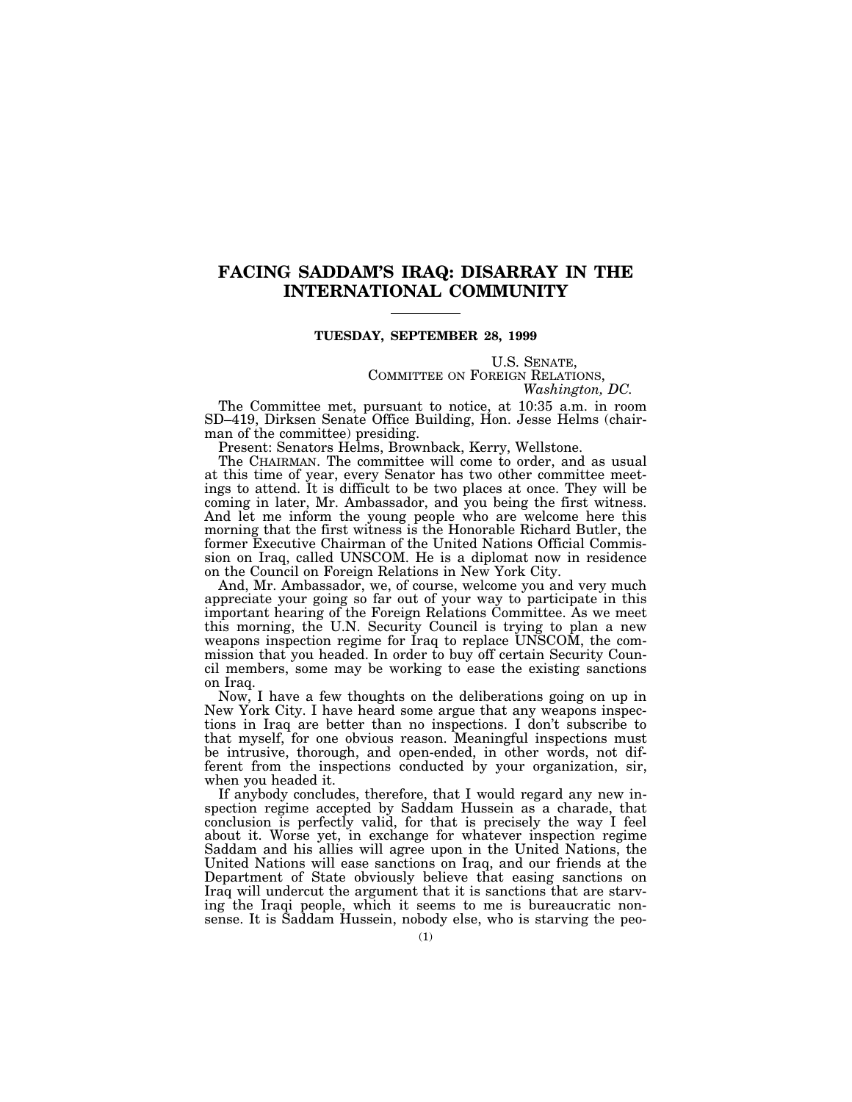#### **FACING SADDAM'S IRAQ: DISARRAY IN THE INTERNATIONAL COMMUNITY**

#### **TUESDAY, SEPTEMBER 28, 1999**

# U.S. SENATE,<br>COMMITTEE ON FOREIGN RELATIONS,<br>*Washington, DC.*

The Committee met, pursuant to notice, at 10:35 a.m. in room SD–419, Dirksen Senate Office Building, Hon. Jesse Helms (chairman of the committee) presiding.

Present: Senators Helms, Brownback, Kerry, Wellstone.

The CHAIRMAN. The committee will come to order, and as usual at this time of year, every Senator has two other committee meetings to attend. It is difficult to be two places at once. They will be coming in later, Mr. Ambassador, and you being the first witness. And let me inform the young people who are welcome here this morning that the first witness is the Honorable Richard Butler, the former Executive Chairman of the United Nations Official Commission on Iraq, called UNSCOM. He is a diplomat now in residence on the Council on Foreign Relations in New York City.

And, Mr. Ambassador, we, of course, welcome you and very much appreciate your going so far out of your way to participate in this important hearing of the Foreign Relations Committee. As we meet this morning, the U.N. Security Council is trying to plan a new weapons inspection regime for Iraq to replace UNSCOM, the commission that you headed. In order to buy off certain Security Council members, some may be working to ease the existing sanctions on Iraq.

Now, I have a few thoughts on the deliberations going on up in New York City. I have heard some argue that any weapons inspections in Iraq are better than no inspections. I don't subscribe to that myself, for one obvious reason. Meaningful inspections must be intrusive, thorough, and open-ended, in other words, not different from the inspections conducted by your organization, sir, when you headed it.

If anybody concludes, therefore, that I would regard any new inspection regime accepted by Saddam Hussein as a charade, that conclusion is perfectly valid, for that is precisely the way I feel about it. Worse yet, in exchange for whatever inspection regime Saddam and his allies will agree upon in the United Nations, the United Nations will ease sanctions on Iraq, and our friends at the Department of State obviously believe that easing sanctions on Iraq will undercut the argument that it is sanctions that are starving the Iraqi people, which it seems to me is bureaucratic nonsense. It is Saddam Hussein, nobody else, who is starving the peo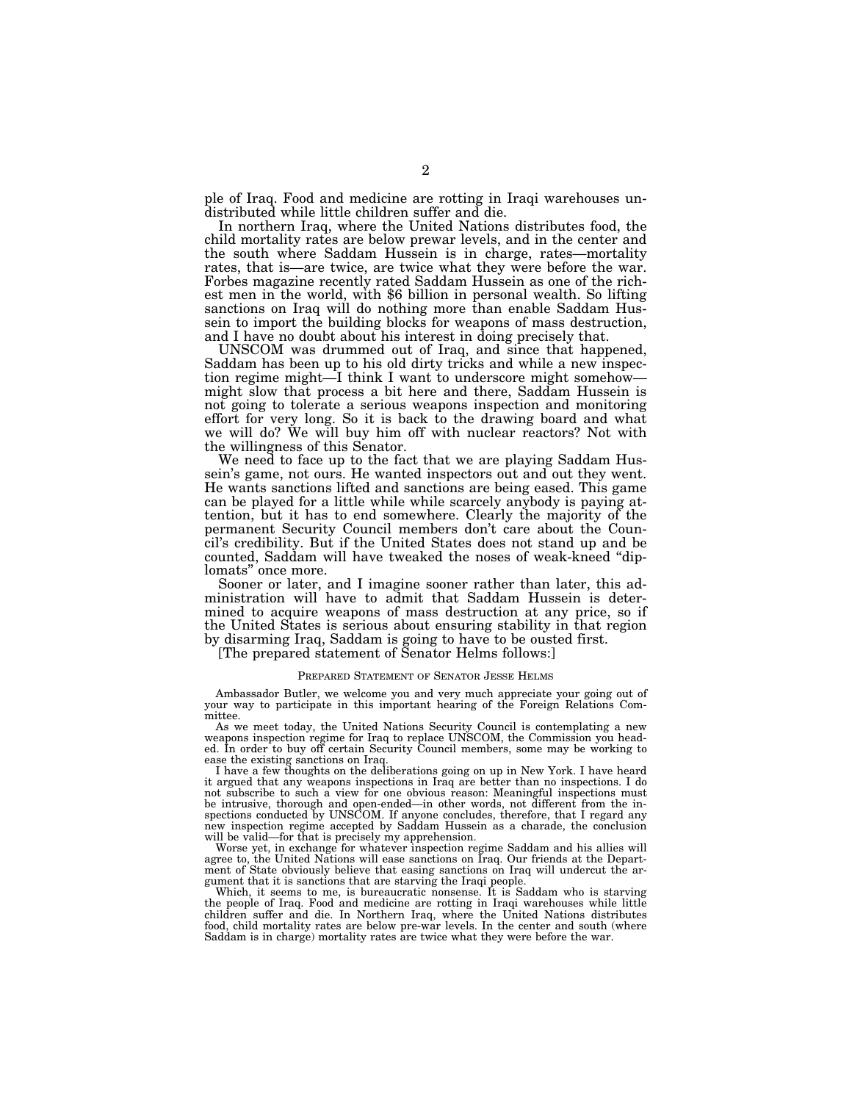ple of Iraq. Food and medicine are rotting in Iraqi warehouses undistributed while little children suffer and die.

In northern Iraq, where the United Nations distributes food, the child mortality rates are below prewar levels, and in the center and the south where Saddam Hussein is in charge, rates—mortality rates, that is—are twice, are twice what they were before the war. Forbes magazine recently rated Saddam Hussein as one of the richest men in the world, with \$6 billion in personal wealth. So lifting sanctions on Iraq will do nothing more than enable Saddam Hussein to import the building blocks for weapons of mass destruction, and I have no doubt about his interest in doing precisely that.

UNSCOM was drummed out of Iraq, and since that happened, Saddam has been up to his old dirty tricks and while a new inspection regime might—I think I want to underscore might somehow might slow that process a bit here and there, Saddam Hussein is not going to tolerate a serious weapons inspection and monitoring effort for very long. So it is back to the drawing board and what we will do? We will buy him off with nuclear reactors? Not with the willingness of this Senator.

We need to face up to the fact that we are playing Saddam Hussein's game, not ours. He wanted inspectors out and out they went. He wants sanctions lifted and sanctions are being eased. This game can be played for a little while while scarcely anybody is paying attention, but it has to end somewhere. Clearly the majority of the permanent Security Council members don't care about the Council's credibility. But if the United States does not stand up and be counted, Saddam will have tweaked the noses of weak-kneed ''diplomats'' once more.

Sooner or later, and I imagine sooner rather than later, this administration will have to admit that Saddam Hussein is determined to acquire weapons of mass destruction at any price, so if the United States is serious about ensuring stability in that region by disarming Iraq, Saddam is going to have to be ousted first.

[The prepared statement of Senator Helms follows:]

#### PREPARED STATEMENT OF SENATOR JESSE HELMS

Ambassador Butler, we welcome you and very much appreciate your going out of your way to participate in this important hearing of the Foreign Relations Committee.

As we meet today, the United Nations Security Council is contemplating a new weapons inspection regime for Iraq to replace UNSCOM, the Commission you head-ed. In order to buy off certain Security Council members, some may be working to

ease the existing sanctions on Iraq. I have a few thoughts on the deliberations going on up in New York. I have heard it argued that any weapons inspections in Iraq are better than no inspections. I do not subscribe to such a view for one obvious reason: Meaningful inspections must be intrusive, thorough and open-ended—in other words, not different from the inspections conducted by UNSCOM. If anyone concludes, therefore, that I regard any new inspection regime accepted by Saddam Hussein as a charade, the conclusion will be valid—for that is precisely my apprehension.

Worse yet, in exchange for whatever inspection regime Saddam and his allies will agree to, the United Nations will ease sanctions on Iraq. Our friends at the Department of State obviously believe that easing sanctions on Iraq will undercut the argument that it is sanctions that are starving the Iraqi people.

Which, it seems to me, is bureaucratic nonsense. It is Saddam who is starving the people of Iraq. Food and medicine are rotting in Iraqi warehouses while little children suffer and die. In Northern Iraq, where the United Nations distributes food, child mortality rates are below pre-war levels. In the center and south (where Saddam is in charge) mortality rates are twice what they were before the war.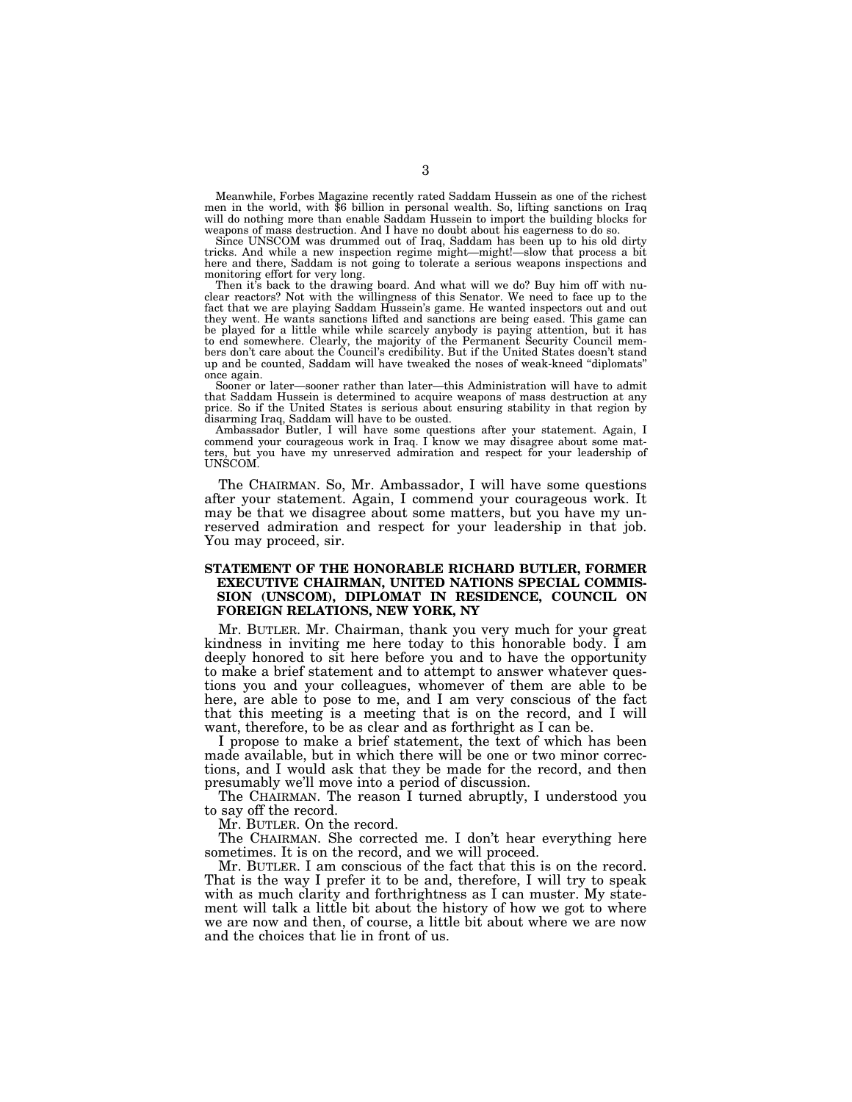Meanwhile, Forbes Magazine recently rated Saddam Hussein as one of the richest men in the world, with \$6 billion in personal wealth. So, lifting sanctions on Iraq will do nothing more than enable Saddam Hussein to import the building blocks for weapons of mass destruction. And I have no doubt about his eagerness to do so.

Since UNSCOM was drummed out of Iraq, Saddam has been up to his old dirty tricks. And while a new inspection regime might—might!—slow that process a bit here and there, Saddam is not going to tolerate a serious weapons inspections and monitoring effort for very long.

Then it's back to the drawing board. And what will we do? Buy him off with nuclear reactors? Not with the willingness of this Senator. We need to face up to the fact that we are playing Saddam Hussein's game. He wanted inspectors out and out they went. He wants sanctions lifted and sanctions are being eased. This game can be played for a little while while scarcely anybody is paying attention, but it has to end somewhere. Clearly, the majority of the Permanent Security Council members don't care about the Council's credibility. But if the United States doesn't stand up and be counted, Saddam will have tweaked the noses of weak-kneed ''diplomats'' once again.

Sooner or later—sooner rather than later—this Administration will have to admit that Saddam Hussein is determined to acquire weapons of mass destruction at any price. So if the United States is serious about ensuring stability in that region by disarming Iraq, Saddam will have to be ousted.

Ambassador Butler, I will have some questions after your statement. Again, I commend your courageous work in Iraq. I know we may disagree about some matters, but you have my unreserved admiration and respect for your leadership of UNSCOM.

The CHAIRMAN. So, Mr. Ambassador, I will have some questions after your statement. Again, I commend your courageous work. It may be that we disagree about some matters, but you have my unreserved admiration and respect for your leadership in that job. You may proceed, sir.

#### **STATEMENT OF THE HONORABLE RICHARD BUTLER, FORMER EXECUTIVE CHAIRMAN, UNITED NATIONS SPECIAL COMMIS-SION (UNSCOM), DIPLOMAT IN RESIDENCE, COUNCIL ON FOREIGN RELATIONS, NEW YORK, NY**

Mr. BUTLER. Mr. Chairman, thank you very much for your great kindness in inviting me here today to this honorable body. I am deeply honored to sit here before you and to have the opportunity to make a brief statement and to attempt to answer whatever questions you and your colleagues, whomever of them are able to be here, are able to pose to me, and I am very conscious of the fact that this meeting is a meeting that is on the record, and I will want, therefore, to be as clear and as forthright as I can be.

I propose to make a brief statement, the text of which has been made available, but in which there will be one or two minor corrections, and I would ask that they be made for the record, and then presumably we'll move into a period of discussion.

The CHAIRMAN. The reason I turned abruptly, I understood you to say off the record.

Mr. BUTLER. On the record.

The CHAIRMAN. She corrected me. I don't hear everything here sometimes. It is on the record, and we will proceed.

Mr. BUTLER. I am conscious of the fact that this is on the record. That is the way I prefer it to be and, therefore, I will try to speak with as much clarity and forthrightness as I can muster. My statement will talk a little bit about the history of how we got to where we are now and then, of course, a little bit about where we are now and the choices that lie in front of us.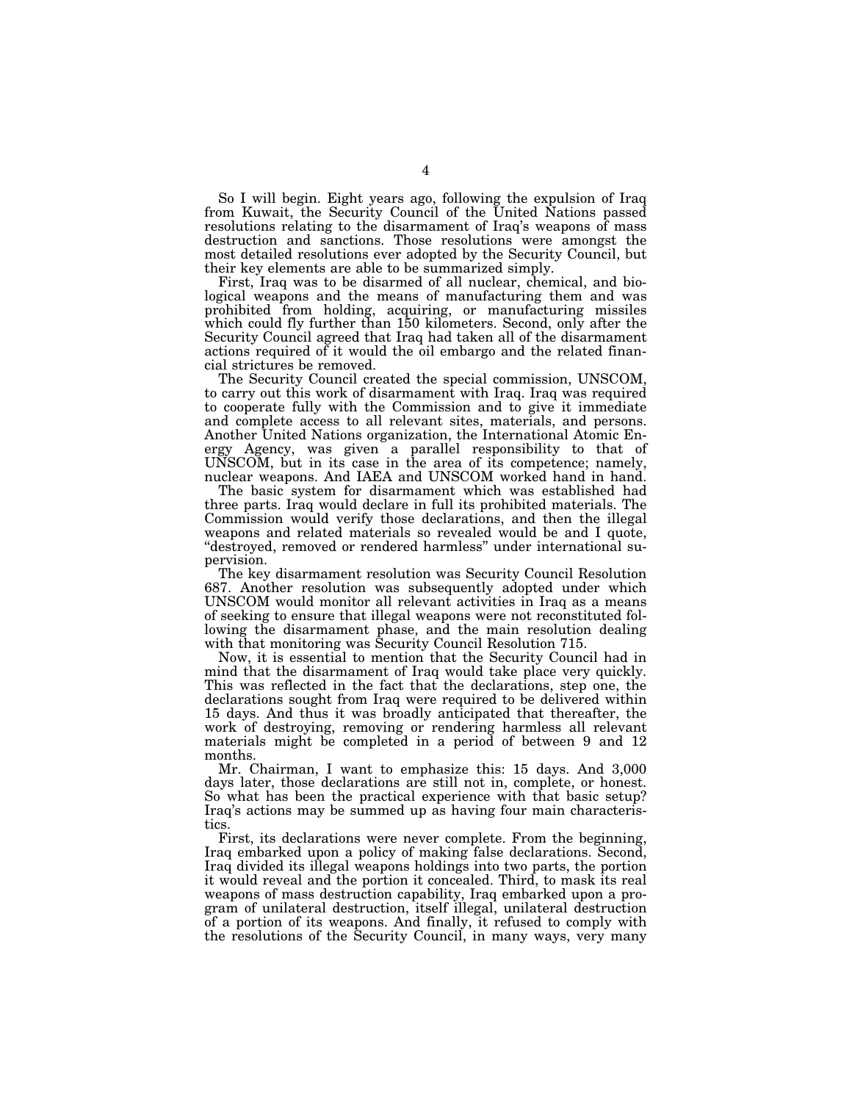So I will begin. Eight years ago, following the expulsion of Iraq from Kuwait, the Security Council of the United Nations passed resolutions relating to the disarmament of Iraq's weapons of mass destruction and sanctions. Those resolutions were amongst the most detailed resolutions ever adopted by the Security Council, but their key elements are able to be summarized simply.

First, Iraq was to be disarmed of all nuclear, chemical, and biological weapons and the means of manufacturing them and was prohibited from holding, acquiring, or manufacturing missiles which could fly further than 150 kilometers. Second, only after the Security Council agreed that Iraq had taken all of the disarmament actions required of it would the oil embargo and the related financial strictures be removed.

The Security Council created the special commission, UNSCOM, to carry out this work of disarmament with Iraq. Iraq was required to cooperate fully with the Commission and to give it immediate and complete access to all relevant sites, materials, and persons. Another United Nations organization, the International Atomic Energy Agency, was given a parallel responsibility to that of UNSCOM, but in its case in the area of its competence; namely, nuclear weapons. And IAEA and UNSCOM worked hand in hand.

The basic system for disarmament which was established had three parts. Iraq would declare in full its prohibited materials. The Commission would verify those declarations, and then the illegal weapons and related materials so revealed would be and I quote, ''destroyed, removed or rendered harmless'' under international supervision.

The key disarmament resolution was Security Council Resolution 687. Another resolution was subsequently adopted under which UNSCOM would monitor all relevant activities in Iraq as a means of seeking to ensure that illegal weapons were not reconstituted following the disarmament phase, and the main resolution dealing with that monitoring was Security Council Resolution 715.

Now, it is essential to mention that the Security Council had in mind that the disarmament of Iraq would take place very quickly. This was reflected in the fact that the declarations, step one, the declarations sought from Iraq were required to be delivered within 15 days. And thus it was broadly anticipated that thereafter, the work of destroying, removing or rendering harmless all relevant materials might be completed in a period of between 9 and 12 months.

Mr. Chairman, I want to emphasize this: 15 days. And 3,000 days later, those declarations are still not in, complete, or honest. So what has been the practical experience with that basic setup? Iraq's actions may be summed up as having four main characteristics.

First, its declarations were never complete. From the beginning, Iraq embarked upon a policy of making false declarations. Second, Iraq divided its illegal weapons holdings into two parts, the portion it would reveal and the portion it concealed. Third, to mask its real weapons of mass destruction capability, Iraq embarked upon a program of unilateral destruction, itself illegal, unilateral destruction of a portion of its weapons. And finally, it refused to comply with the resolutions of the Security Council, in many ways, very many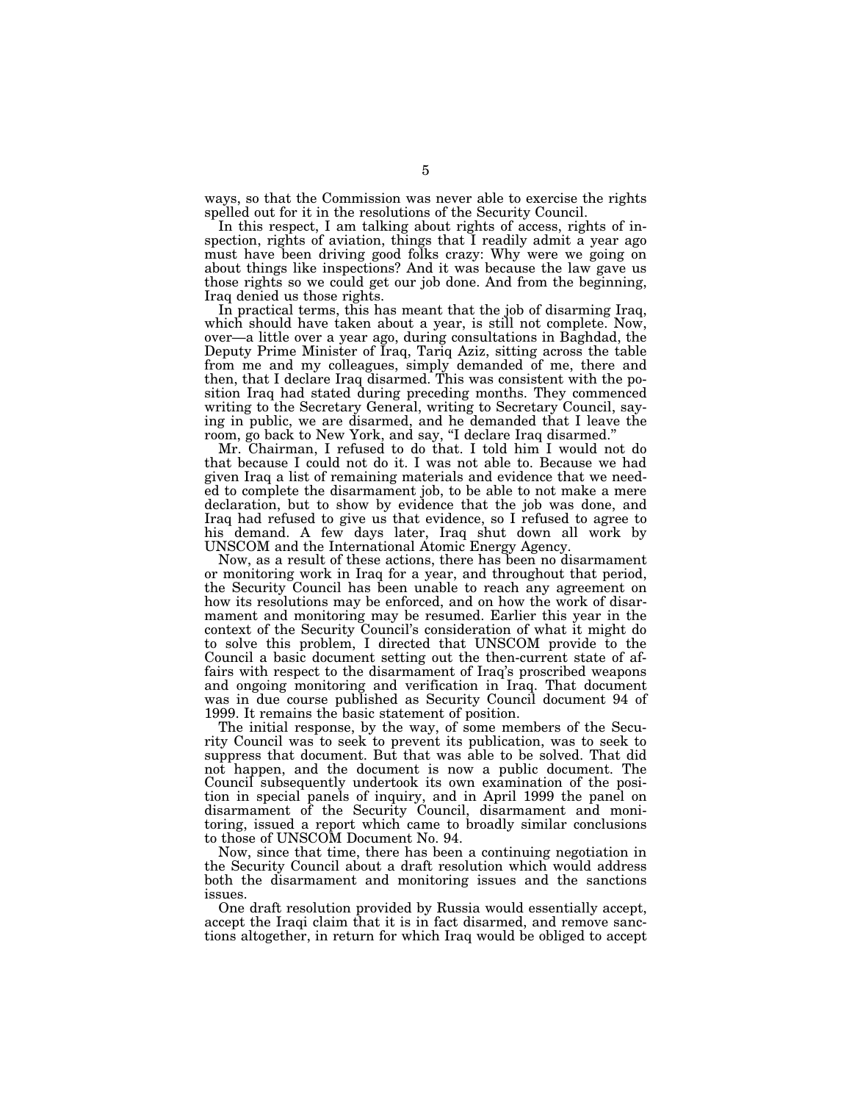ways, so that the Commission was never able to exercise the rights spelled out for it in the resolutions of the Security Council.

In this respect, I am talking about rights of access, rights of inspection, rights of aviation, things that I readily admit a year ago must have been driving good folks crazy: Why were we going on about things like inspections? And it was because the law gave us those rights so we could get our job done. And from the beginning, Iraq denied us those rights.

In practical terms, this has meant that the job of disarming Iraq, which should have taken about a year, is still not complete. Now, over—a little over a year ago, during consultations in Baghdad, the Deputy Prime Minister of Iraq, Tariq Aziz, sitting across the table from me and my colleagues, simply demanded of me, there and then, that I declare Iraq disarmed. This was consistent with the position Iraq had stated during preceding months. They commenced writing to the Secretary General, writing to Secretary Council, saying in public, we are disarmed, and he demanded that I leave the room, go back to New York, and say, ''I declare Iraq disarmed.''

Mr. Chairman, I refused to do that. I told him I would not do that because I could not do it. I was not able to. Because we had given Iraq a list of remaining materials and evidence that we needed to complete the disarmament job, to be able to not make a mere declaration, but to show by evidence that the job was done, and Iraq had refused to give us that evidence, so I refused to agree to his demand. A few days later, Iraq shut down all work by UNSCOM and the International Atomic Energy Agency.

Now, as a result of these actions, there has been no disarmament or monitoring work in Iraq for a year, and throughout that period, the Security Council has been unable to reach any agreement on how its resolutions may be enforced, and on how the work of disarmament and monitoring may be resumed. Earlier this year in the context of the Security Council's consideration of what it might do to solve this problem, I directed that UNSCOM provide to the Council a basic document setting out the then-current state of affairs with respect to the disarmament of Iraq's proscribed weapons and ongoing monitoring and verification in Iraq. That document was in due course published as Security Council document 94 of 1999. It remains the basic statement of position.

The initial response, by the way, of some members of the Security Council was to seek to prevent its publication, was to seek to suppress that document. But that was able to be solved. That did not happen, and the document is now a public document. The Council subsequently undertook its own examination of the position in special panels of inquiry, and in April 1999 the panel on disarmament of the Security Council, disarmament and monitoring, issued a report which came to broadly similar conclusions to those of UNSCOM Document No. 94.

Now, since that time, there has been a continuing negotiation in the Security Council about a draft resolution which would address both the disarmament and monitoring issues and the sanctions issues.

One draft resolution provided by Russia would essentially accept, accept the Iraqi claim that it is in fact disarmed, and remove sanctions altogether, in return for which Iraq would be obliged to accept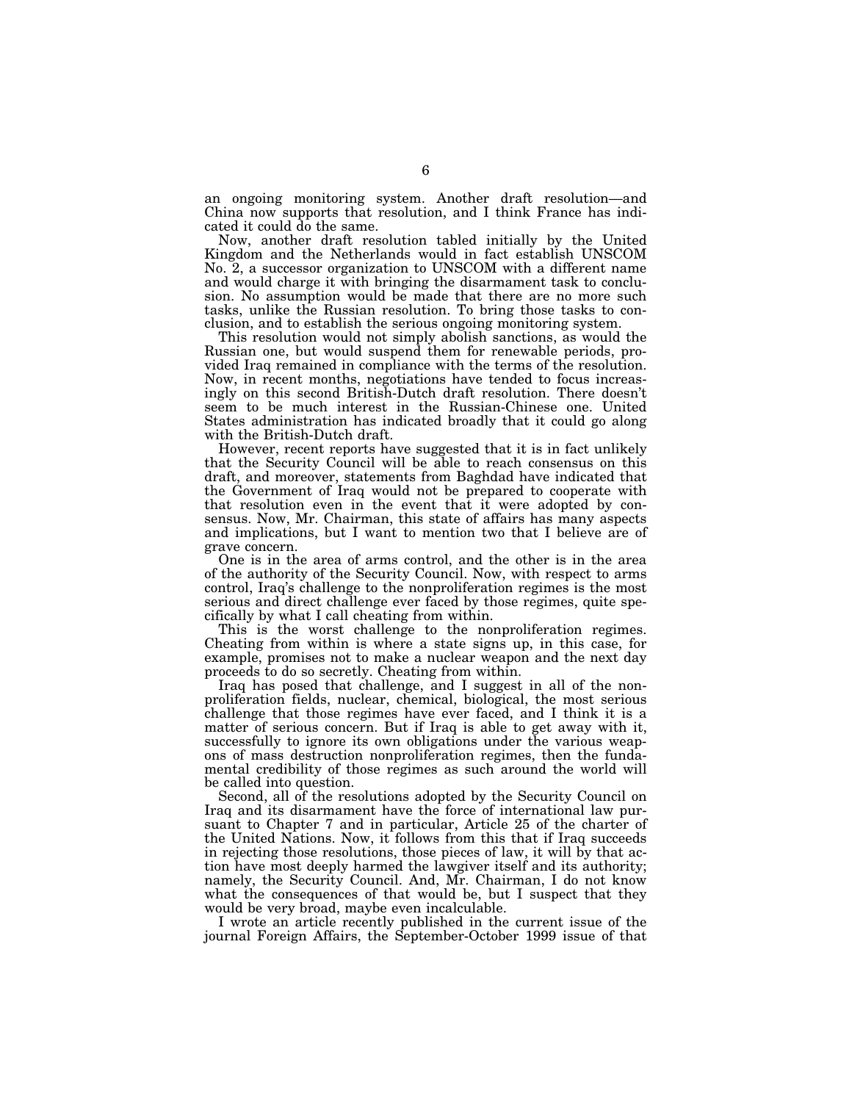an ongoing monitoring system. Another draft resolution—and China now supports that resolution, and I think France has indicated it could do the same.

Now, another draft resolution tabled initially by the United Kingdom and the Netherlands would in fact establish UNSCOM No. 2, a successor organization to UNSCOM with a different name and would charge it with bringing the disarmament task to conclusion. No assumption would be made that there are no more such tasks, unlike the Russian resolution. To bring those tasks to conclusion, and to establish the serious ongoing monitoring system.

This resolution would not simply abolish sanctions, as would the Russian one, but would suspend them for renewable periods, provided Iraq remained in compliance with the terms of the resolution. Now, in recent months, negotiations have tended to focus increasingly on this second British-Dutch draft resolution. There doesn't seem to be much interest in the Russian-Chinese one. United States administration has indicated broadly that it could go along with the British-Dutch draft.

However, recent reports have suggested that it is in fact unlikely that the Security Council will be able to reach consensus on this draft, and moreover, statements from Baghdad have indicated that the Government of Iraq would not be prepared to cooperate with that resolution even in the event that it were adopted by consensus. Now, Mr. Chairman, this state of affairs has many aspects and implications, but I want to mention two that I believe are of grave concern.

One is in the area of arms control, and the other is in the area of the authority of the Security Council. Now, with respect to arms control, Iraq's challenge to the nonproliferation regimes is the most serious and direct challenge ever faced by those regimes, quite specifically by what I call cheating from within.

This is the worst challenge to the nonproliferation regimes. Cheating from within is where a state signs up, in this case, for example, promises not to make a nuclear weapon and the next day proceeds to do so secretly. Cheating from within.

Iraq has posed that challenge, and I suggest in all of the nonproliferation fields, nuclear, chemical, biological, the most serious challenge that those regimes have ever faced, and I think it is a matter of serious concern. But if Iraq is able to get away with it, successfully to ignore its own obligations under the various weapons of mass destruction nonproliferation regimes, then the fundamental credibility of those regimes as such around the world will be called into question.

Second, all of the resolutions adopted by the Security Council on Iraq and its disarmament have the force of international law pursuant to Chapter 7 and in particular, Article 25 of the charter of the United Nations. Now, it follows from this that if Iraq succeeds in rejecting those resolutions, those pieces of law, it will by that action have most deeply harmed the lawgiver itself and its authority; namely, the Security Council. And, Mr. Chairman, I do not know what the consequences of that would be, but I suspect that they would be very broad, maybe even incalculable.

I wrote an article recently published in the current issue of the journal Foreign Affairs, the September-October 1999 issue of that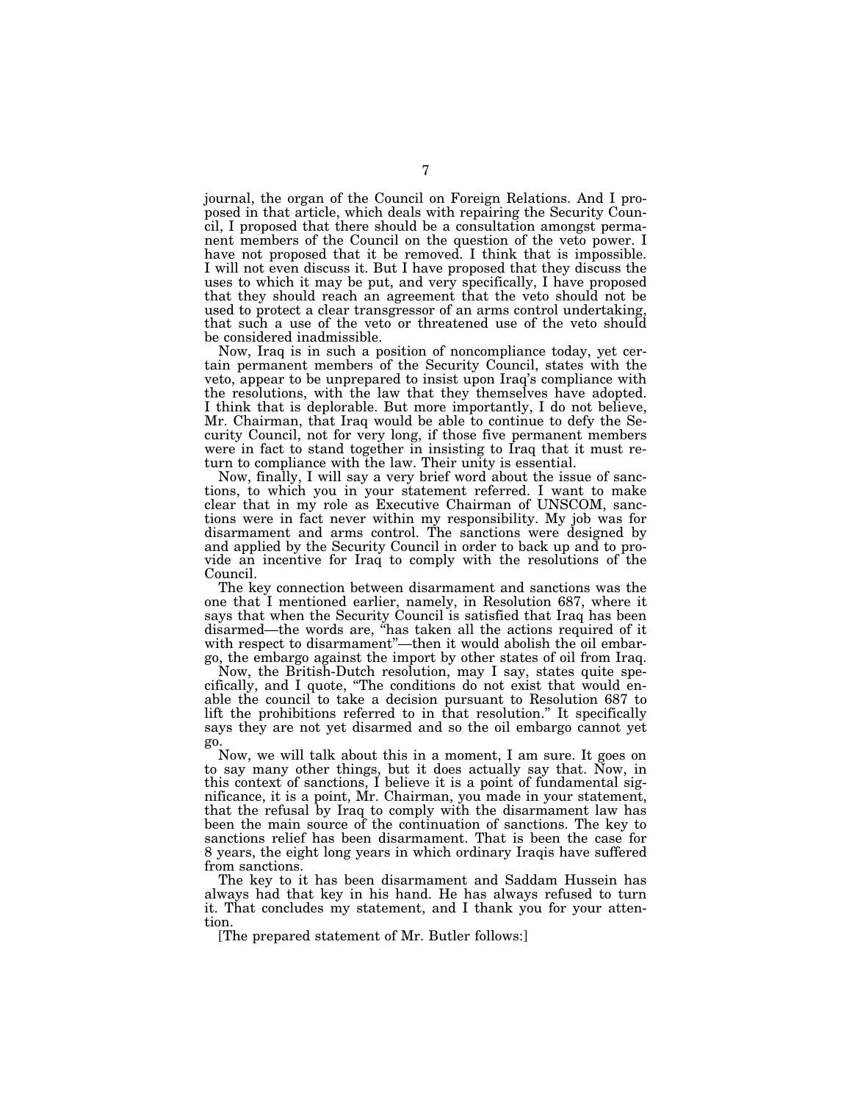journal, the organ of the Council on Foreign Relations. And I proposed in that article, which deals with repairing the Security Council, I proposed that there should be a consultation amongst permanent members of the Council on the question of the veto power. I have not proposed that it be removed. I think that is impossible. I will not even discuss it. But I have proposed that they discuss the uses to which it may be put, and very specifically, I have proposed that they should reach an agreement that the veto should not be used to protect a clear transgressor of an arms control undertaking, that such a use of the veto or threatened use of the veto should be considered inadmissible.

Now, Iraq is in such a position of noncompliance today, yet certain permanent members of the Security Council, states with the veto, appear to be unprepared to insist upon Iraq's compliance with the resolutions, with the law that they themselves have adopted. I think that is deplorable. But more importantly, I do not believe, Mr. Chairman, that Iraq would be able to continue to defy the Security Council, not for very long, if those five permanent members were in fact to stand together in insisting to Iraq that it must return to compliance with the law. Their unity is essential.

Now, finally, I will say a very brief word about the issue of sanctions, to which you in your statement referred. I want to make clear that in my role as Executive Chairman of UNSCOM, sanctions were in fact never within my responsibility. My job was for disarmament and arms control. The sanctions were designed by and applied by the Security Council in order to back up and to provide an incentive for Iraq to comply with the resolutions of the Council.

The key connection between disarmament and sanctions was the one that I mentioned earlier, namely, in Resolution 687, where it says that when the Security Council is satisfied that Iraq has been disarmed—the words are, ''has taken all the actions required of it with respect to disarmament"—then it would abolish the oil embargo, the embargo against the import by other states of oil from Iraq.

Now, the British-Dutch resolution, may I say, states quite specifically, and I quote, ''The conditions do not exist that would enable the council to take a decision pursuant to Resolution 687 to lift the prohibitions referred to in that resolution.'' It specifically says they are not yet disarmed and so the oil embargo cannot yet go.

Now, we will talk about this in a moment, I am sure. It goes on to say many other things, but it does actually say that. Now, in this context of sanctions, I believe it is a point of fundamental significance, it is a point, Mr. Chairman, you made in your statement, that the refusal by Iraq to comply with the disarmament law has been the main source of the continuation of sanctions. The key to sanctions relief has been disarmament. That is been the case for 8 years, the eight long years in which ordinary Iraqis have suffered from sanctions.

The key to it has been disarmament and Saddam Hussein has always had that key in his hand. He has always refused to turn it. That concludes my statement, and I thank you for your attention.

[The prepared statement of Mr. Butler follows:]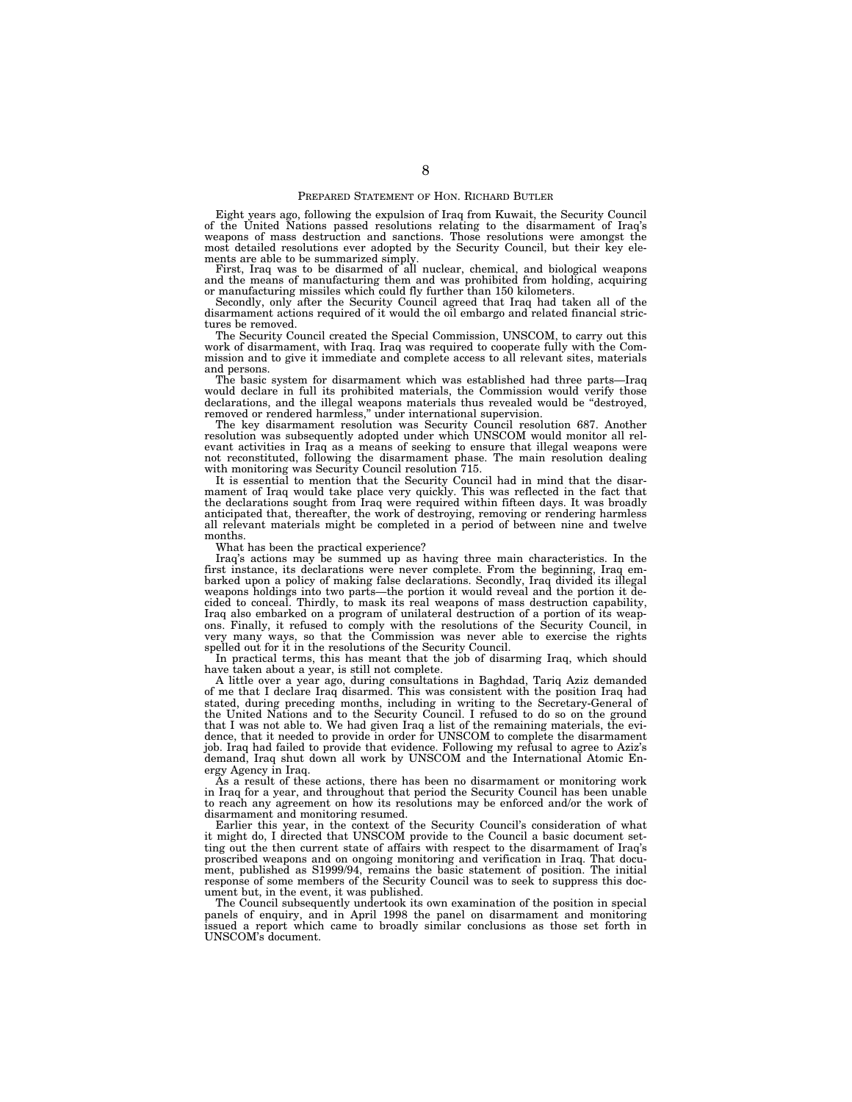#### PREPARED STATEMENT OF HON. RICHARD BUTLER

Eight years ago, following the expulsion of Iraq from Kuwait, the Security Council of the United Nations passed resolutions relating to the disarmament of Iraq's weapons of mass destruction and sanctions. Those resolutions were amongst the most detailed resolutions ever adopted by the Security Council, but their key ele-

ments are able to be summarized simply. First, Iraq was to be disarmed of all nuclear, chemical, and biological weapons and the means of manufacturing them and was prohibited from holding, acquiring or manufacturing missiles which could fly further than 150 kilometers.

Secondly, only after the Security Council agreed that Iraq had taken all of the disarmament actions required of it would the oil embargo and related financial strictures be removed.

The Security Council created the Special Commission, UNSCOM, to carry out this work of disarmament, with Iraq. Iraq was required to cooperate fully with the Commission and to give it immediate and complete access to all relevant sites, materials and persons.

The basic system for disarmament which was established had three parts—Iraq would declare in full its prohibited materials, the Commission would verify those declarations, and the illegal weapons materials thus revealed would be "destroyed, removed or rendered harmless,'' under international supervision.

The key disarmament resolution was Security Council resolution 687. Another resolution was subsequently adopted under which UNSCOM would monitor all relevant activities in Iraq as a means of seeking to ensure that illegal weapons were not reconstituted, following the disarmament phase. The main resolution dealing with monitoring was Security Council resolution 715.

It is essential to mention that the Security Council had in mind that the disarmament of Iraq would take place very quickly. This was reflected in the fact that the declarations sought from Iraq were required within fifteen days. It was broadly anticipated that, thereafter, the work of destroying, removing or rendering harmless all relevant materials might be completed in a period of between nine and twelve months.

What has been the practical experience?

Iraq's actions may be summed up as having three main characteristics. In the first instance, its declarations were never complete. From the beginning, Iraq embarked upon a policy of making false declarations. Secondly, Iraq divided its illegal weapons holdings into two parts—the portion it would reveal and the portion it decided to conceal. Thirdly, to mask its real weapons of mass destruction capability, Iraq also embarked on a program of unilateral destruction of a portion of its weapons. Finally, it refused to comply with the resolutions of the Security Council, in very many ways, so that the Commission was never able to exercise the rights spelled out for it in the resolutions of the Security Council.

In practical terms, this has meant that the job of disarming Iraq, which should have taken about a year, is still not complete.

A little over a year ago, during consultations in Baghdad, Tariq Aziz demanded of me that I declare Iraq disarmed. This was consistent with the position Iraq had stated, during preceding months, including in writing to the Secretary-General of the United Nations and to the Security Council. I refused to do so on the ground that I was not able to. We had given Iraq a list of the remaining materials, the evidence, that it needed to provide in order for UNSCOM to complete the disarmament job. Iraq had failed to provide that evidence. Following my refusal to agree to Aziz's demand, Iraq shut down all work by UNSCOM and the International Atomic Energy Agency in Iraq.

As a result of these actions, there has been no disarmament or monitoring work in Iraq for a year, and throughout that period the Security Council has been unable to reach any agreement on how its resolutions may be enforced and/or the work of disarmament and monitoring resumed.

Earlier this year, in the context of the Security Council's consideration of what it might do, I directed that UNSCOM provide to the Council a basic document setting out the then current state of affairs with respect to the disarmament of Iraq's proscribed weapons and on ongoing monitoring and verification in Iraq. That document, published as S1999/94, remains the basic statement of position. The initial response of some members of the Security Council was to seek to suppress this document but, in the event, it was published.

The Council subsequently undertook its own examination of the position in special panels of enquiry, and in April 1998 the panel on disarmament and monitoring issued a report which came to broadly similar conclusions as those set forth in UNSCOM's document.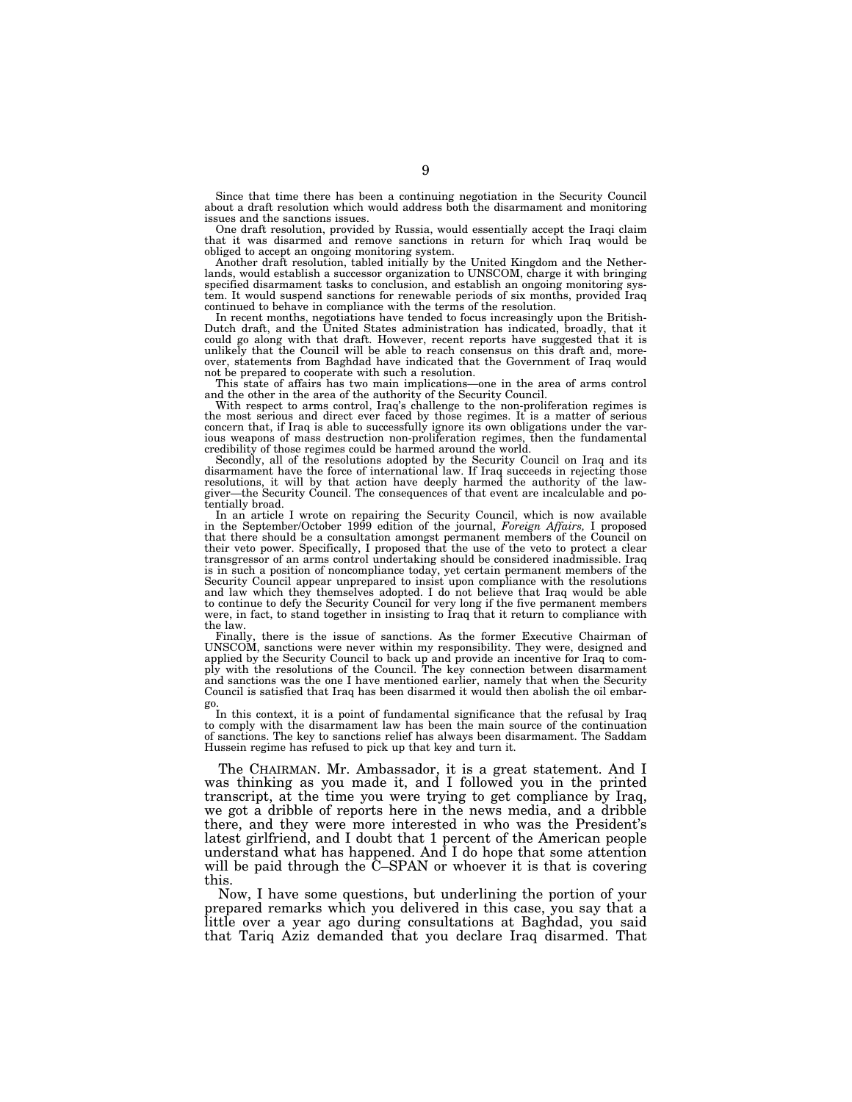Since that time there has been a continuing negotiation in the Security Council about a draft resolution which would address both the disarmament and monitoring issues and the sanctions issues.

One draft resolution, provided by Russia, would essentially accept the Iraqi claim that it was disarmed and remove sanctions in return for which Iraq would be obliged to accept an ongoing monitoring system.

Another draft resolution, tabled initially by the United Kingdom and the Netherlands, would establish a successor organization to UNSCOM, charge it with bringing specified disarmament tasks to conclusion, and establish an ongoing monitoring system. It would suspend sanctions for renewable periods of six months, provided Iraq continued to behave in compliance with the terms of the resolution.

In recent months, negotiations have tended to focus increasingly upon the British-Dutch draft, and the United States administration has indicated, broadly, that it could go along with that draft. However, recent reports have suggested that it is unlikely that the Council will be able to reach consensus on this draft and, moreover, statements from Baghdad have indicated that the Government of Iraq would not be prepared to cooperate with such a resolution.

This state of affairs has two main implications—one in the area of arms control and the other in the area of the authority of the Security Council.

With respect to arms control, Iraq's challenge to the non-proliferation regimes is the most serious and direct ever faced by those regimes. It is a matter of serious concern that, if Iraq is able to successfully ignore its own obligations under the various weapons of mass destruction non-proliferation regimes, then the fundamental credibility of those regimes could be harmed around the world.

Secondly, all of the resolutions adopted by the Security Council on Iraq and its disarmament have the force of international law. If Iraq succeeds in rejecting those<br>resolutions, it will by that action have deeply harmed the authority of the law-<br>giver—the Security Council. The consequences of that eve tentially broad.

In an article I wrote on repairing the Security Council, which is now available in the September/October 1999 edition of the journal, *Foreign Affairs,* I proposed that there should be a consultation amongst permanent members of the Council on their veto power. Specifically, I proposed that the use of the veto to protect a clear transgressor of an arms control undertaking should be considered inadmissible. Iraq is in such a position of noncompliance today, yet certain permanent members of the Security Council appear unprepared to insist upon compliance with the resolutions and law which they themselves adopted. I do not believe that Iraq would be able to continue to defy the Security Council for very long if the five permanent members were, in fact, to stand together in insisting to Iraq that it return to compliance with the law.

Finally, there is the issue of sanctions. As the former Executive Chairman of UNSCOM, sanctions were never within my responsibility. They were, designed and applied by the Security Council to back up and provide an incentive for Iraq to comply with the resolutions of the Council. The key connection between disarmament and sanctions was the one I have mentioned earlier, namely that when the Security Council is satisfied that Iraq has been disarmed it would then abolish the oil embargo.

In this context, it is a point of fundamental significance that the refusal by Iraq to comply with the disarmament law has been the main source of the continuation of sanctions. The key to sanctions relief has always been disarmament. The Saddam Hussein regime has refused to pick up that key and turn it.

The CHAIRMAN. Mr. Ambassador, it is a great statement. And I was thinking as you made it, and I followed you in the printed transcript, at the time you were trying to get compliance by Iraq, we got a dribble of reports here in the news media, and a dribble there, and they were more interested in who was the President's latest girlfriend, and I doubt that 1 percent of the American people understand what has happened. And I do hope that some attention will be paid through the C–SPAN or whoever it is that is covering this.

Now, I have some questions, but underlining the portion of your prepared remarks which you delivered in this case, you say that a little over a year ago during consultations at Baghdad, you said that Tariq Aziz demanded that you declare Iraq disarmed. That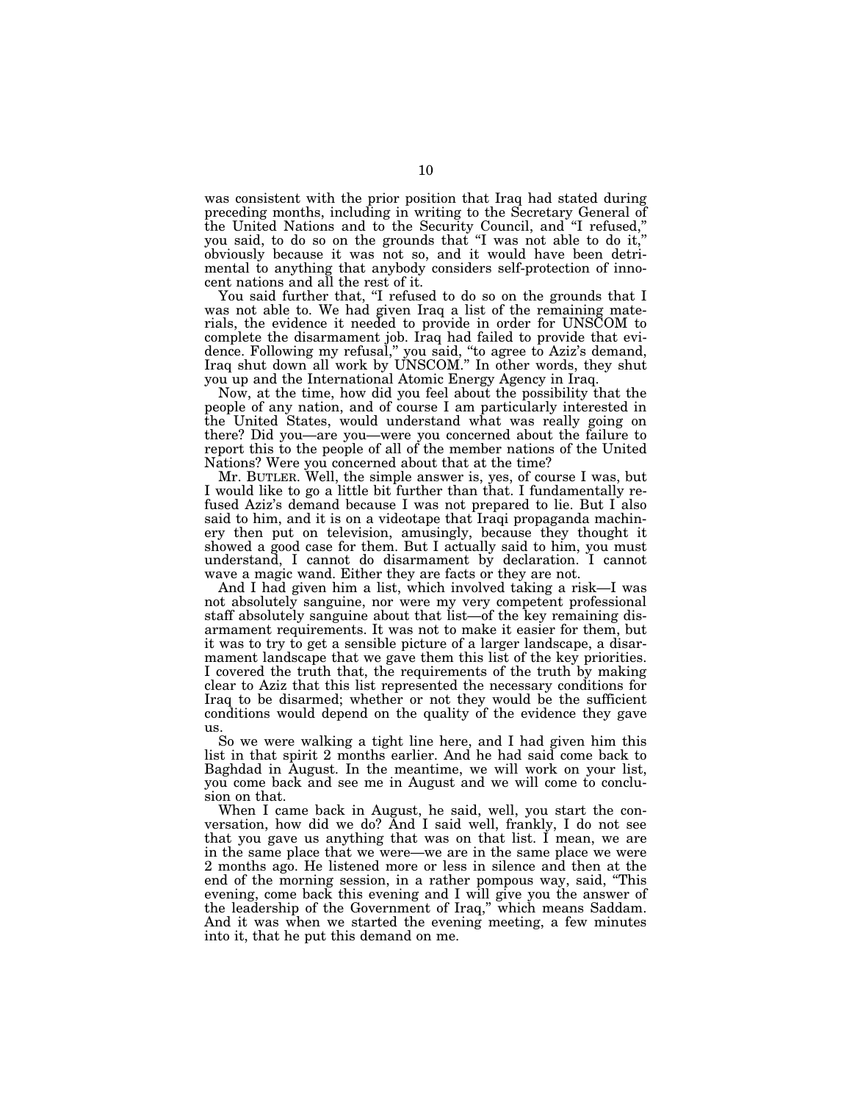was consistent with the prior position that Iraq had stated during preceding months, including in writing to the Secretary General of the United Nations and to the Security Council, and ''I refused,'' you said, to do so on the grounds that "I was not able to do it," obviously because it was not so, and it would have been detrimental to anything that anybody considers self-protection of innocent nations and all the rest of it.

You said further that, "I refused to do so on the grounds that I was not able to. We had given Iraq a list of the remaining materials, the evidence it needed to provide in order for UNSCOM to complete the disarmament job. Iraq had failed to provide that evidence. Following my refusal,'' you said, ''to agree to Aziz's demand, Iraq shut down all work by UNSCOM.'' In other words, they shut you up and the International Atomic Energy Agency in Iraq.

Now, at the time, how did you feel about the possibility that the people of any nation, and of course I am particularly interested in the United States, would understand what was really going on there? Did you—are you—were you concerned about the failure to report this to the people of all of the member nations of the United Nations? Were you concerned about that at the time?

Mr. BUTLER. Well, the simple answer is, yes, of course I was, but I would like to go a little bit further than that. I fundamentally refused Aziz's demand because I was not prepared to lie. But I also said to him, and it is on a videotape that Iraqi propaganda machinery then put on television, amusingly, because they thought it showed a good case for them. But I actually said to him, you must understand, I cannot do disarmament by declaration. I cannot wave a magic wand. Either they are facts or they are not.

And I had given him a list, which involved taking a risk—I was not absolutely sanguine, nor were my very competent professional staff absolutely sanguine about that list—of the key remaining disarmament requirements. It was not to make it easier for them, but it was to try to get a sensible picture of a larger landscape, a disarmament landscape that we gave them this list of the key priorities. I covered the truth that, the requirements of the truth by making clear to Aziz that this list represented the necessary conditions for Iraq to be disarmed; whether or not they would be the sufficient conditions would depend on the quality of the evidence they gave us.

So we were walking a tight line here, and I had given him this list in that spirit 2 months earlier. And he had said come back to Baghdad in August. In the meantime, we will work on your list, you come back and see me in August and we will come to conclusion on that.

When I came back in August, he said, well, you start the conversation, how did we do? And I said well, frankly, I do not see that you gave us anything that was on that list. I mean, we are in the same place that we were—we are in the same place we were 2 months ago. He listened more or less in silence and then at the end of the morning session, in a rather pompous way, said, ''This evening, come back this evening and I will give you the answer of the leadership of the Government of Iraq,'' which means Saddam. And it was when we started the evening meeting, a few minutes into it, that he put this demand on me.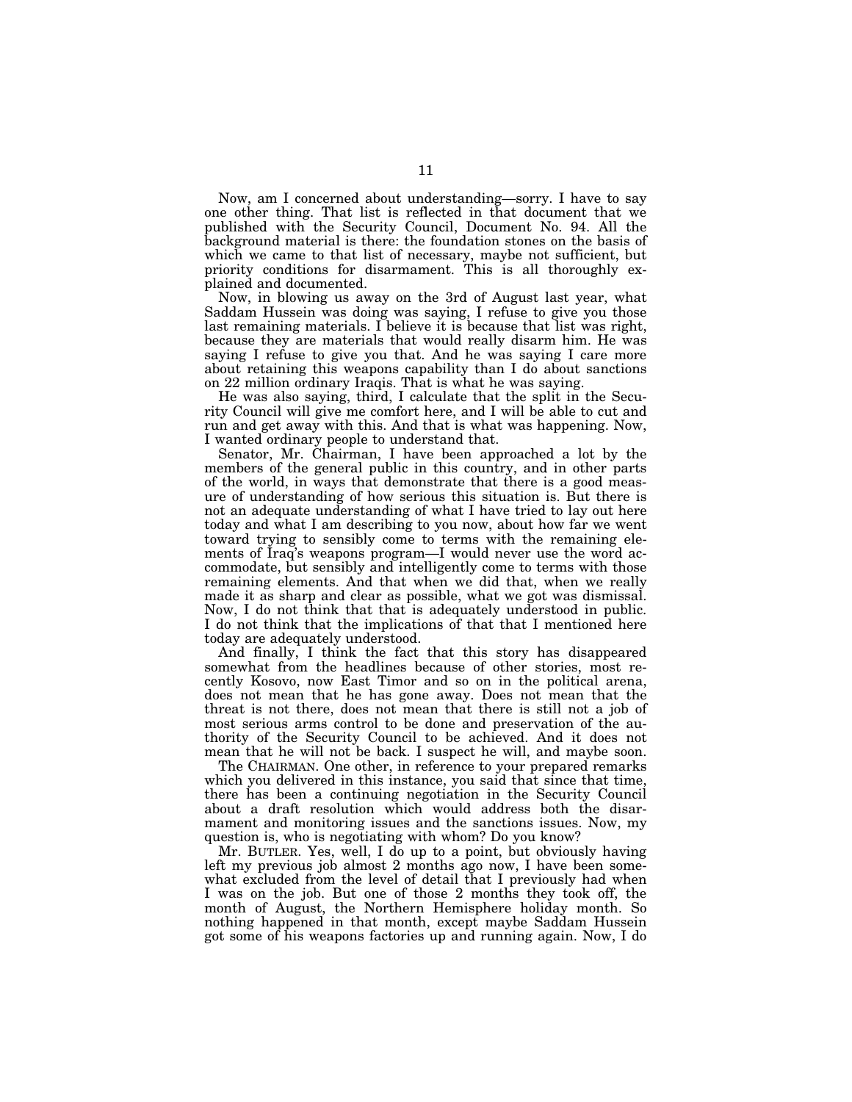Now, am I concerned about understanding—sorry. I have to say one other thing. That list is reflected in that document that we published with the Security Council, Document No. 94. All the background material is there: the foundation stones on the basis of which we came to that list of necessary, maybe not sufficient, but priority conditions for disarmament. This is all thoroughly explained and documented.

Now, in blowing us away on the 3rd of August last year, what Saddam Hussein was doing was saying, I refuse to give you those last remaining materials. I believe it is because that list was right, because they are materials that would really disarm him. He was saying I refuse to give you that. And he was saying I care more about retaining this weapons capability than I do about sanctions on 22 million ordinary Iraqis. That is what he was saying.

He was also saying, third, I calculate that the split in the Security Council will give me comfort here, and I will be able to cut and run and get away with this. And that is what was happening. Now, I wanted ordinary people to understand that.

Senator, Mr. Chairman, I have been approached a lot by the members of the general public in this country, and in other parts of the world, in ways that demonstrate that there is a good measure of understanding of how serious this situation is. But there is not an adequate understanding of what I have tried to lay out here today and what I am describing to you now, about how far we went toward trying to sensibly come to terms with the remaining elements of Iraq's weapons program—I would never use the word accommodate, but sensibly and intelligently come to terms with those remaining elements. And that when we did that, when we really made it as sharp and clear as possible, what we got was dismissal. Now, I do not think that that is adequately understood in public. I do not think that the implications of that that I mentioned here today are adequately understood.

And finally, I think the fact that this story has disappeared somewhat from the headlines because of other stories, most recently Kosovo, now East Timor and so on in the political arena, does not mean that he has gone away. Does not mean that the threat is not there, does not mean that there is still not a job of most serious arms control to be done and preservation of the authority of the Security Council to be achieved. And it does not mean that he will not be back. I suspect he will, and maybe soon.

The CHAIRMAN. One other, in reference to your prepared remarks which you delivered in this instance, you said that since that time, there has been a continuing negotiation in the Security Council about a draft resolution which would address both the disarmament and monitoring issues and the sanctions issues. Now, my question is, who is negotiating with whom? Do you know?

Mr. BUTLER. Yes, well, I do up to a point, but obviously having left my previous job almost 2 months ago now, I have been somewhat excluded from the level of detail that I previously had when I was on the job. But one of those 2 months they took off, the month of August, the Northern Hemisphere holiday month. So nothing happened in that month, except maybe Saddam Hussein got some of his weapons factories up and running again. Now, I do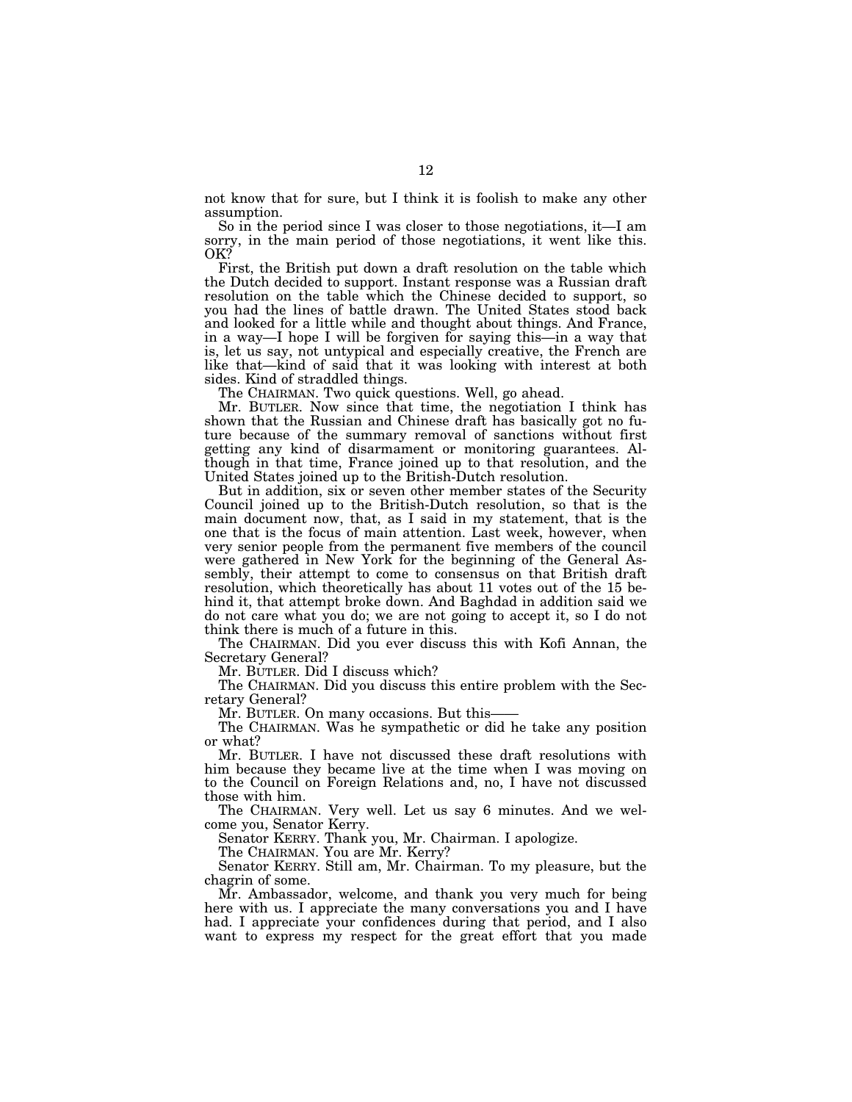not know that for sure, but I think it is foolish to make any other assumption.

So in the period since I was closer to those negotiations, it—I am sorry, in the main period of those negotiations, it went like this. OK?

First, the British put down a draft resolution on the table which the Dutch decided to support. Instant response was a Russian draft resolution on the table which the Chinese decided to support, so you had the lines of battle drawn. The United States stood back and looked for a little while and thought about things. And France, in a way—I hope I will be forgiven for saying this—in a way that is, let us say, not untypical and especially creative, the French are like that—kind of said that it was looking with interest at both sides. Kind of straddled things.

The CHAIRMAN. Two quick questions. Well, go ahead.

Mr. BUTLER. Now since that time, the negotiation I think has shown that the Russian and Chinese draft has basically got no future because of the summary removal of sanctions without first getting any kind of disarmament or monitoring guarantees. Although in that time, France joined up to that resolution, and the United States joined up to the British-Dutch resolution.

But in addition, six or seven other member states of the Security Council joined up to the British-Dutch resolution, so that is the main document now, that, as I said in my statement, that is the one that is the focus of main attention. Last week, however, when very senior people from the permanent five members of the council were gathered in New York for the beginning of the General Assembly, their attempt to come to consensus on that British draft resolution, which theoretically has about 11 votes out of the 15 behind it, that attempt broke down. And Baghdad in addition said we do not care what you do; we are not going to accept it, so I do not think there is much of a future in this.

The CHAIRMAN. Did you ever discuss this with Kofi Annan, the Secretary General?

Mr. BUTLER. Did I discuss which?

The CHAIRMAN. Did you discuss this entire problem with the Secretary General?

Mr. BUTLER. On many occasions. But this-

The CHAIRMAN. Was he sympathetic or did he take any position or what?

Mr. BUTLER. I have not discussed these draft resolutions with him because they became live at the time when I was moving on to the Council on Foreign Relations and, no, I have not discussed those with him.

The CHAIRMAN. Very well. Let us say 6 minutes. And we welcome you, Senator Kerry.

Senator KERRY. Thank you, Mr. Chairman. I apologize.

The CHAIRMAN. You are Mr. Kerry?

Senator KERRY. Still am, Mr. Chairman. To my pleasure, but the chagrin of some.

Mr. Ambassador, welcome, and thank you very much for being here with us. I appreciate the many conversations you and I have had. I appreciate your confidences during that period, and I also want to express my respect for the great effort that you made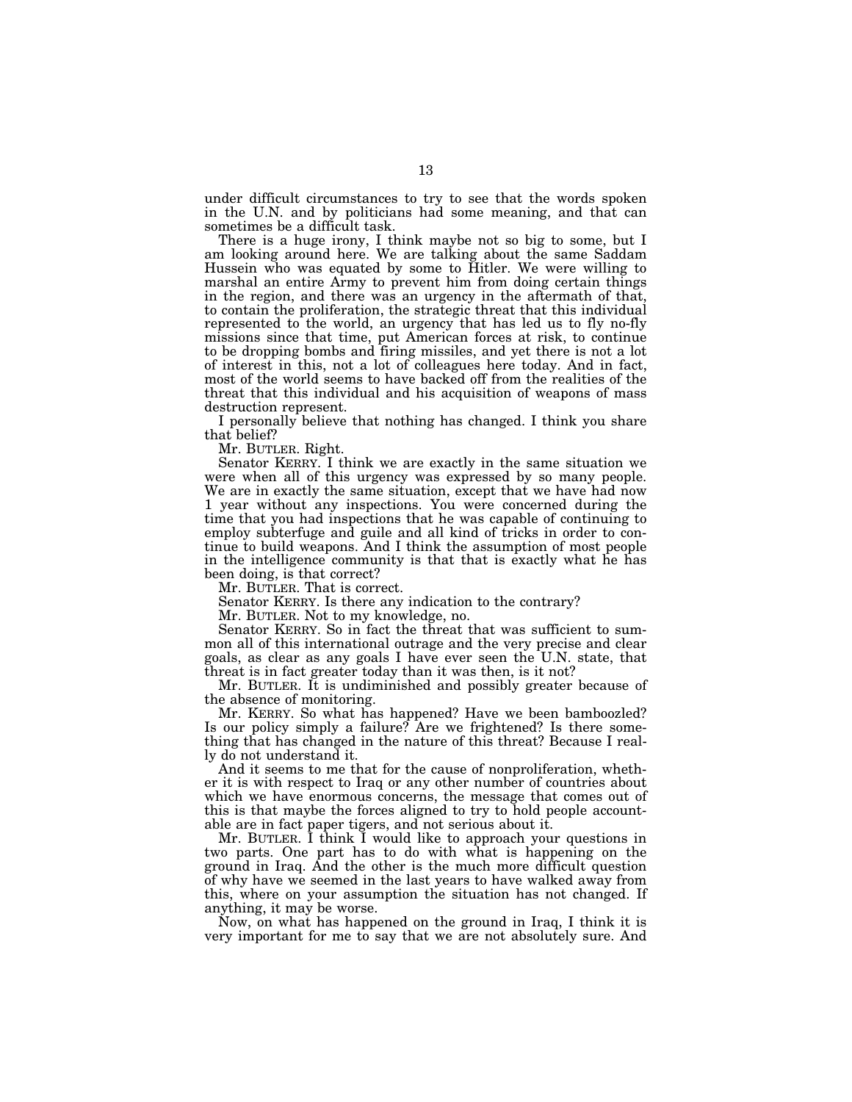under difficult circumstances to try to see that the words spoken in the U.N. and by politicians had some meaning, and that can sometimes be a difficult task.

There is a huge irony, I think maybe not so big to some, but I am looking around here. We are talking about the same Saddam Hussein who was equated by some to Hitler. We were willing to marshal an entire Army to prevent him from doing certain things in the region, and there was an urgency in the aftermath of that, to contain the proliferation, the strategic threat that this individual represented to the world, an urgency that has led us to fly no-fly missions since that time, put American forces at risk, to continue to be dropping bombs and firing missiles, and yet there is not a lot of interest in this, not a lot of colleagues here today. And in fact, most of the world seems to have backed off from the realities of the threat that this individual and his acquisition of weapons of mass destruction represent.

I personally believe that nothing has changed. I think you share that belief?

Mr. BUTLER. Right.

Senator KERRY. I think we are exactly in the same situation we were when all of this urgency was expressed by so many people. We are in exactly the same situation, except that we have had now 1 year without any inspections. You were concerned during the time that you had inspections that he was capable of continuing to employ subterfuge and guile and all kind of tricks in order to continue to build weapons. And I think the assumption of most people in the intelligence community is that that is exactly what he has been doing, is that correct?

Mr. BUTLER. That is correct.

Senator KERRY. Is there any indication to the contrary?

Mr. BUTLER. Not to my knowledge, no.

Senator KERRY. So in fact the threat that was sufficient to summon all of this international outrage and the very precise and clear goals, as clear as any goals I have ever seen the U.N. state, that threat is in fact greater today than it was then, is it not?

Mr. BUTLER. It is undiminished and possibly greater because of the absence of monitoring.

Mr. KERRY. So what has happened? Have we been bamboozled? Is our policy simply a failure? Are we frightened? Is there something that has changed in the nature of this threat? Because I really do not understand it.

And it seems to me that for the cause of nonproliferation, whether it is with respect to Iraq or any other number of countries about which we have enormous concerns, the message that comes out of this is that maybe the forces aligned to try to hold people accountable are in fact paper tigers, and not serious about it.

Mr. BUTLER. I think I would like to approach your questions in two parts. One part has to do with what is happening on the ground in Iraq. And the other is the much more difficult question of why have we seemed in the last years to have walked away from this, where on your assumption the situation has not changed. If anything, it may be worse.

Now, on what has happened on the ground in Iraq, I think it is very important for me to say that we are not absolutely sure. And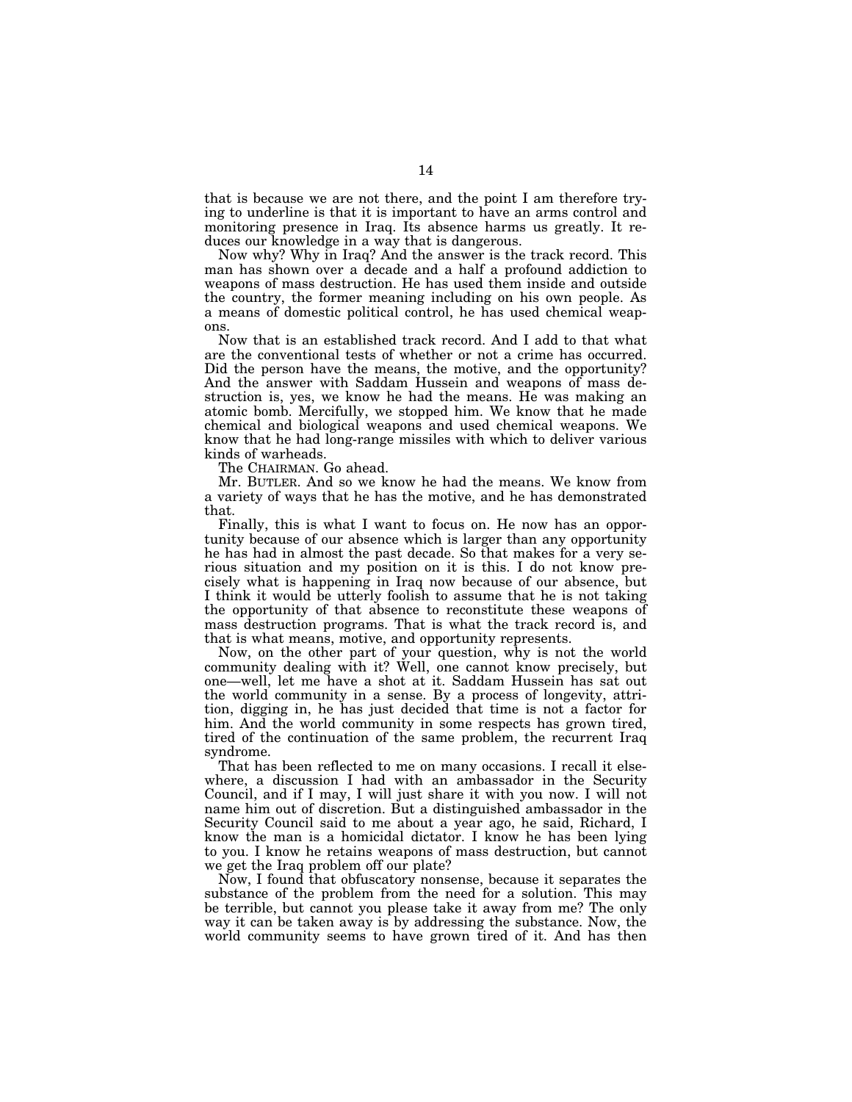that is because we are not there, and the point I am therefore trying to underline is that it is important to have an arms control and monitoring presence in Iraq. Its absence harms us greatly. It reduces our knowledge in a way that is dangerous.

Now why? Why in Iraq? And the answer is the track record. This man has shown over a decade and a half a profound addiction to weapons of mass destruction. He has used them inside and outside the country, the former meaning including on his own people. As a means of domestic political control, he has used chemical weapons.

Now that is an established track record. And I add to that what are the conventional tests of whether or not a crime has occurred. Did the person have the means, the motive, and the opportunity? And the answer with Saddam Hussein and weapons of mass destruction is, yes, we know he had the means. He was making an atomic bomb. Mercifully, we stopped him. We know that he made chemical and biological weapons and used chemical weapons. We know that he had long-range missiles with which to deliver various kinds of warheads.

The CHAIRMAN. Go ahead.

Mr. BUTLER. And so we know he had the means. We know from a variety of ways that he has the motive, and he has demonstrated that.

Finally, this is what I want to focus on. He now has an opportunity because of our absence which is larger than any opportunity he has had in almost the past decade. So that makes for a very serious situation and my position on it is this. I do not know precisely what is happening in Iraq now because of our absence, but I think it would be utterly foolish to assume that he is not taking the opportunity of that absence to reconstitute these weapons of mass destruction programs. That is what the track record is, and that is what means, motive, and opportunity represents.

Now, on the other part of your question, why is not the world community dealing with it? Well, one cannot know precisely, but one—well, let me have a shot at it. Saddam Hussein has sat out the world community in a sense. By a process of longevity, attrition, digging in, he has just decided that time is not a factor for him. And the world community in some respects has grown tired, tired of the continuation of the same problem, the recurrent Iraq syndrome.

That has been reflected to me on many occasions. I recall it elsewhere, a discussion I had with an ambassador in the Security Council, and if I may, I will just share it with you now. I will not name him out of discretion. But a distinguished ambassador in the Security Council said to me about a year ago, he said, Richard, I know the man is a homicidal dictator. I know he has been lying to you. I know he retains weapons of mass destruction, but cannot we get the Iraq problem off our plate?

Now, I found that obfuscatory nonsense, because it separates the substance of the problem from the need for a solution. This may be terrible, but cannot you please take it away from me? The only way it can be taken away is by addressing the substance. Now, the world community seems to have grown tired of it. And has then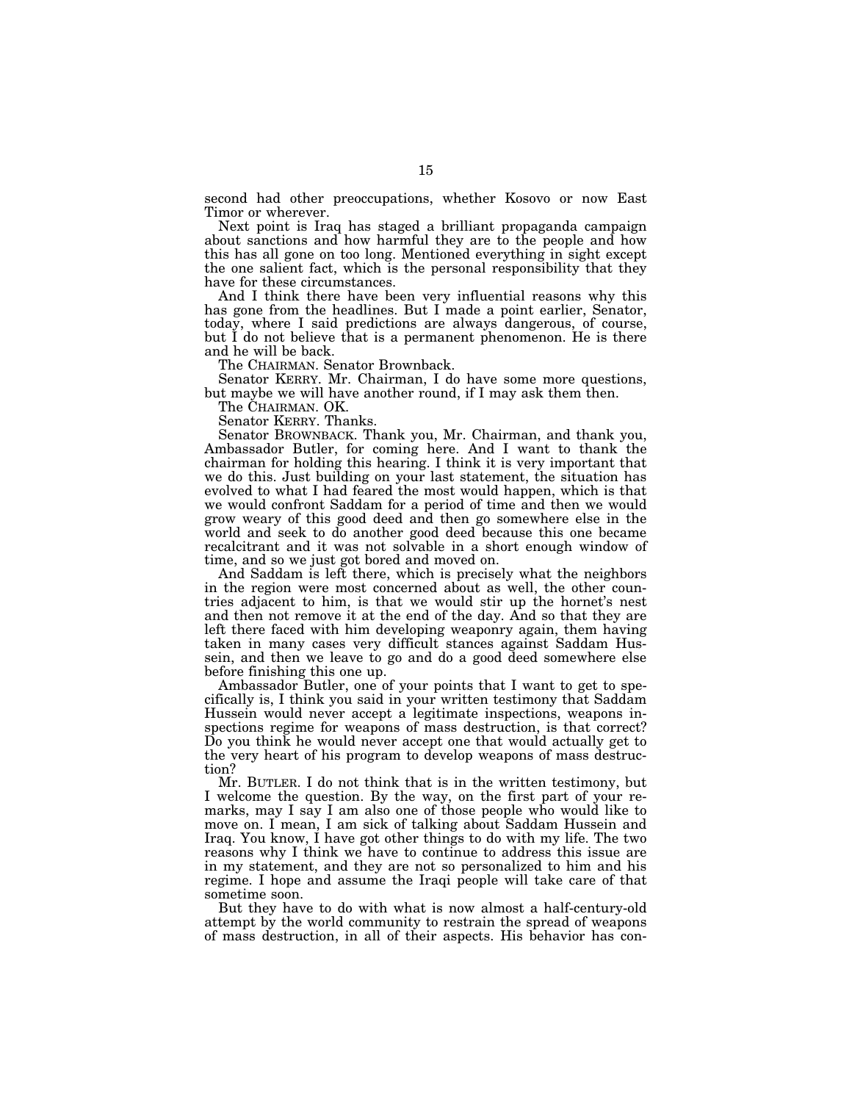second had other preoccupations, whether Kosovo or now East Timor or wherever.

Next point is Iraq has staged a brilliant propaganda campaign about sanctions and how harmful they are to the people and how this has all gone on too long. Mentioned everything in sight except the one salient fact, which is the personal responsibility that they have for these circumstances.

And I think there have been very influential reasons why this has gone from the headlines. But I made a point earlier, Senator, today, where I said predictions are always dangerous, of course, but I do not believe that is a permanent phenomenon. He is there and he will be back.

The CHAIRMAN. Senator Brownback.

Senator KERRY. Mr. Chairman, I do have some more questions, but maybe we will have another round, if I may ask them then.

The CHAIRMAN. OK.

Senator KERRY. Thanks.

Senator BROWNBACK. Thank you, Mr. Chairman, and thank you, Ambassador Butler, for coming here. And I want to thank the chairman for holding this hearing. I think it is very important that we do this. Just building on your last statement, the situation has evolved to what I had feared the most would happen, which is that we would confront Saddam for a period of time and then we would grow weary of this good deed and then go somewhere else in the world and seek to do another good deed because this one became recalcitrant and it was not solvable in a short enough window of time, and so we just got bored and moved on.

And Saddam is left there, which is precisely what the neighbors in the region were most concerned about as well, the other countries adjacent to him, is that we would stir up the hornet's nest and then not remove it at the end of the day. And so that they are left there faced with him developing weaponry again, them having taken in many cases very difficult stances against Saddam Hussein, and then we leave to go and do a good deed somewhere else before finishing this one up.

Ambassador Butler, one of your points that I want to get to specifically is, I think you said in your written testimony that Saddam Hussein would never accept a legitimate inspections, weapons inspections regime for weapons of mass destruction, is that correct? Do you think he would never accept one that would actually get to the very heart of his program to develop weapons of mass destruction?

Mr. BUTLER. I do not think that is in the written testimony, but I welcome the question. By the way, on the first part of your remarks, may I say I am also one of those people who would like to move on. I mean, I am sick of talking about Saddam Hussein and Iraq. You know, I have got other things to do with my life. The two reasons why I think we have to continue to address this issue are in my statement, and they are not so personalized to him and his regime. I hope and assume the Iraqi people will take care of that sometime soon.

But they have to do with what is now almost a half-century-old attempt by the world community to restrain the spread of weapons of mass destruction, in all of their aspects. His behavior has con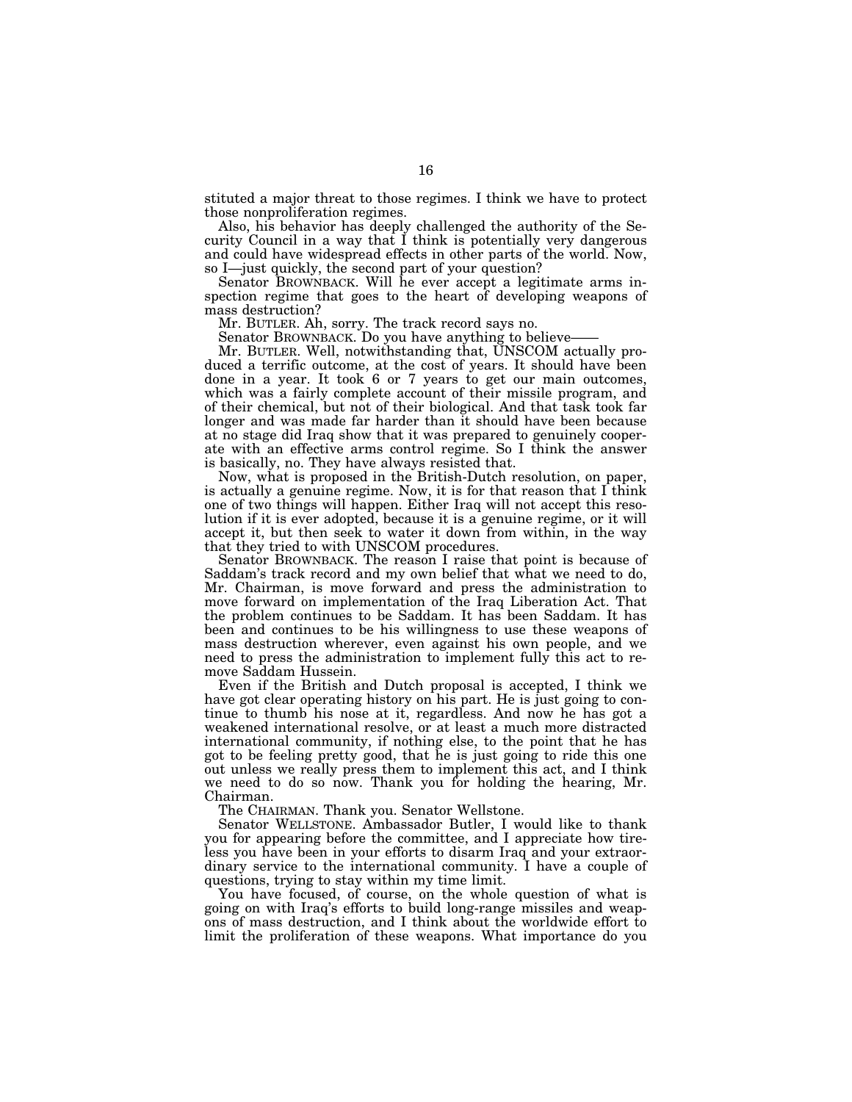stituted a major threat to those regimes. I think we have to protect those nonproliferation regimes.

Also, his behavior has deeply challenged the authority of the Security Council in a way that I think is potentially very dangerous and could have widespread effects in other parts of the world. Now, so I—just quickly, the second part of your question?

Senator BROWNBACK. Will he ever accept a legitimate arms inspection regime that goes to the heart of developing weapons of mass destruction?

Mr. BUTLER. Ah, sorry. The track record says no.

Senator BROWNBACK. Do you have anything to believe-

Mr. BUTLER. Well, notwithstanding that, UNSCOM actually produced a terrific outcome, at the cost of years. It should have been done in a year. It took 6 or 7 years to get our main outcomes, which was a fairly complete account of their missile program, and of their chemical, but not of their biological. And that task took far longer and was made far harder than it should have been because at no stage did Iraq show that it was prepared to genuinely cooperate with an effective arms control regime. So I think the answer is basically, no. They have always resisted that.

Now, what is proposed in the British-Dutch resolution, on paper, is actually a genuine regime. Now, it is for that reason that I think one of two things will happen. Either Iraq will not accept this resolution if it is ever adopted, because it is a genuine regime, or it will accept it, but then seek to water it down from within, in the way that they tried to with UNSCOM procedures.

Senator BROWNBACK. The reason I raise that point is because of Saddam's track record and my own belief that what we need to do, Mr. Chairman, is move forward and press the administration to move forward on implementation of the Iraq Liberation Act. That the problem continues to be Saddam. It has been Saddam. It has been and continues to be his willingness to use these weapons of mass destruction wherever, even against his own people, and we need to press the administration to implement fully this act to remove Saddam Hussein.

Even if the British and Dutch proposal is accepted, I think we have got clear operating history on his part. He is just going to continue to thumb his nose at it, regardless. And now he has got a weakened international resolve, or at least a much more distracted international community, if nothing else, to the point that he has got to be feeling pretty good, that he is just going to ride this one out unless we really press them to implement this act, and I think we need to do so now. Thank you for holding the hearing, Mr. Chairman.

The CHAIRMAN. Thank you. Senator Wellstone.

Senator WELLSTONE. Ambassador Butler, I would like to thank you for appearing before the committee, and I appreciate how tireless you have been in your efforts to disarm Iraq and your extraordinary service to the international community. I have a couple of questions, trying to stay within my time limit.

You have focused, of course, on the whole question of what is going on with Iraq's efforts to build long-range missiles and weapons of mass destruction, and I think about the worldwide effort to limit the proliferation of these weapons. What importance do you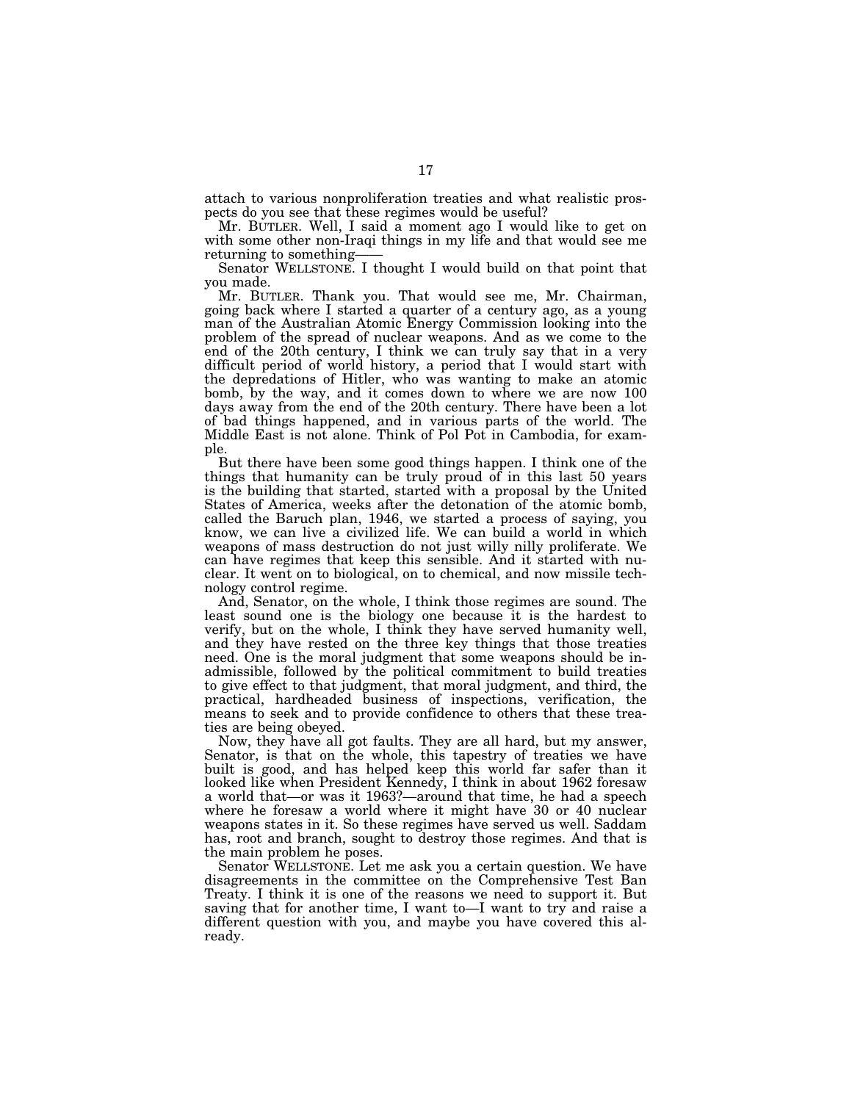attach to various nonproliferation treaties and what realistic prospects do you see that these regimes would be useful?

Mr. BUTLER. Well, I said a moment ago I would like to get on with some other non-Iraqi things in my life and that would see me returning to something——

Senator WELLSTONE. I thought I would build on that point that you made.

Mr. BUTLER. Thank you. That would see me, Mr. Chairman, going back where I started a quarter of a century ago, as a young man of the Australian Atomic Energy Commission looking into the problem of the spread of nuclear weapons. And as we come to the end of the 20th century, I think we can truly say that in a very difficult period of world history, a period that I would start with the depredations of Hitler, who was wanting to make an atomic bomb, by the way, and it comes down to where we are now 100 days away from the end of the 20th century. There have been a lot of bad things happened, and in various parts of the world. The Middle East is not alone. Think of Pol Pot in Cambodia, for example.

But there have been some good things happen. I think one of the things that humanity can be truly proud of in this last 50 years is the building that started, started with a proposal by the United States of America, weeks after the detonation of the atomic bomb, called the Baruch plan, 1946, we started a process of saying, you know, we can live a civilized life. We can build a world in which weapons of mass destruction do not just willy nilly proliferate. We can have regimes that keep this sensible. And it started with nuclear. It went on to biological, on to chemical, and now missile technology control regime.

And, Senator, on the whole, I think those regimes are sound. The least sound one is the biology one because it is the hardest to verify, but on the whole, I think they have served humanity well, and they have rested on the three key things that those treaties need. One is the moral judgment that some weapons should be inadmissible, followed by the political commitment to build treaties to give effect to that judgment, that moral judgment, and third, the practical, hardheaded business of inspections, verification, the means to seek and to provide confidence to others that these treaties are being obeyed.

Now, they have all got faults. They are all hard, but my answer, Senator, is that on the whole, this tapestry of treaties we have built is good, and has helped keep this world far safer than it looked like when President Kennedy, I think in about 1962 foresaw a world that—or was it 1963?—around that time, he had a speech where he foresaw a world where it might have 30 or 40 nuclear weapons states in it. So these regimes have served us well. Saddam has, root and branch, sought to destroy those regimes. And that is the main problem he poses.

Senator WELLSTONE. Let me ask you a certain question. We have disagreements in the committee on the Comprehensive Test Ban Treaty. I think it is one of the reasons we need to support it. But saving that for another time, I want to—I want to try and raise a different question with you, and maybe you have covered this already.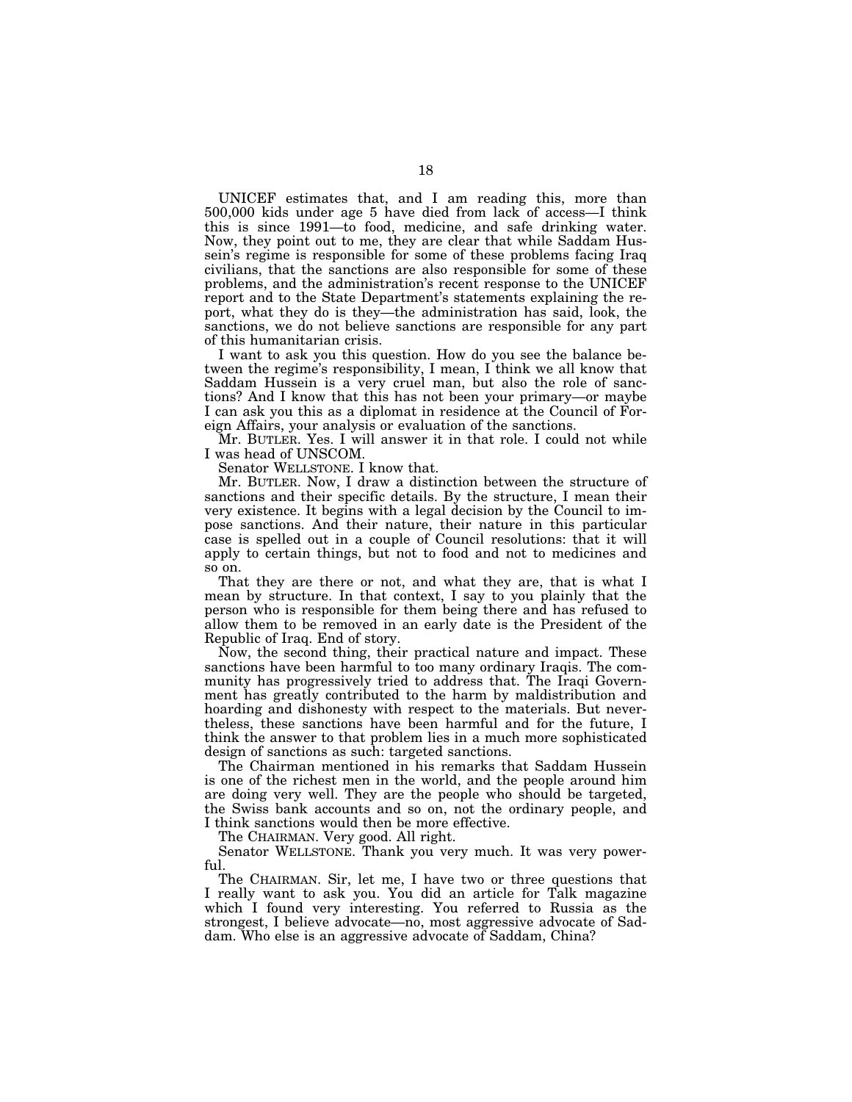UNICEF estimates that, and I am reading this, more than 500,000 kids under age 5 have died from lack of access—I think this is since 1991—to food, medicine, and safe drinking water. Now, they point out to me, they are clear that while Saddam Hussein's regime is responsible for some of these problems facing Iraq civilians, that the sanctions are also responsible for some of these problems, and the administration's recent response to the UNICEF report and to the State Department's statements explaining the report, what they do is they—the administration has said, look, the sanctions, we do not believe sanctions are responsible for any part of this humanitarian crisis.

I want to ask you this question. How do you see the balance between the regime's responsibility, I mean, I think we all know that Saddam Hussein is a very cruel man, but also the role of sanctions? And I know that this has not been your primary—or maybe I can ask you this as a diplomat in residence at the Council of Foreign Affairs, your analysis or evaluation of the sanctions.

Mr. BUTLER. Yes. I will answer it in that role. I could not while I was head of UNSCOM.

Senator WELLSTONE. I know that.

Mr. BUTLER. Now, I draw a distinction between the structure of sanctions and their specific details. By the structure, I mean their very existence. It begins with a legal decision by the Council to impose sanctions. And their nature, their nature in this particular case is spelled out in a couple of Council resolutions: that it will apply to certain things, but not to food and not to medicines and so on.

That they are there or not, and what they are, that is what I mean by structure. In that context, I say to you plainly that the person who is responsible for them being there and has refused to allow them to be removed in an early date is the President of the Republic of Iraq. End of story.

Now, the second thing, their practical nature and impact. These sanctions have been harmful to too many ordinary Iraqis. The community has progressively tried to address that. The Iraqi Government has greatly contributed to the harm by maldistribution and hoarding and dishonesty with respect to the materials. But nevertheless, these sanctions have been harmful and for the future, I think the answer to that problem lies in a much more sophisticated design of sanctions as such: targeted sanctions.

The Chairman mentioned in his remarks that Saddam Hussein is one of the richest men in the world, and the people around him are doing very well. They are the people who should be targeted, the Swiss bank accounts and so on, not the ordinary people, and I think sanctions would then be more effective.

The CHAIRMAN. Very good. All right.

Senator WELLSTONE. Thank you very much. It was very powerful.

The CHAIRMAN. Sir, let me, I have two or three questions that I really want to ask you. You did an article for Talk magazine which I found very interesting. You referred to Russia as the strongest, I believe advocate—no, most aggressive advocate of Saddam. Who else is an aggressive advocate of Saddam, China?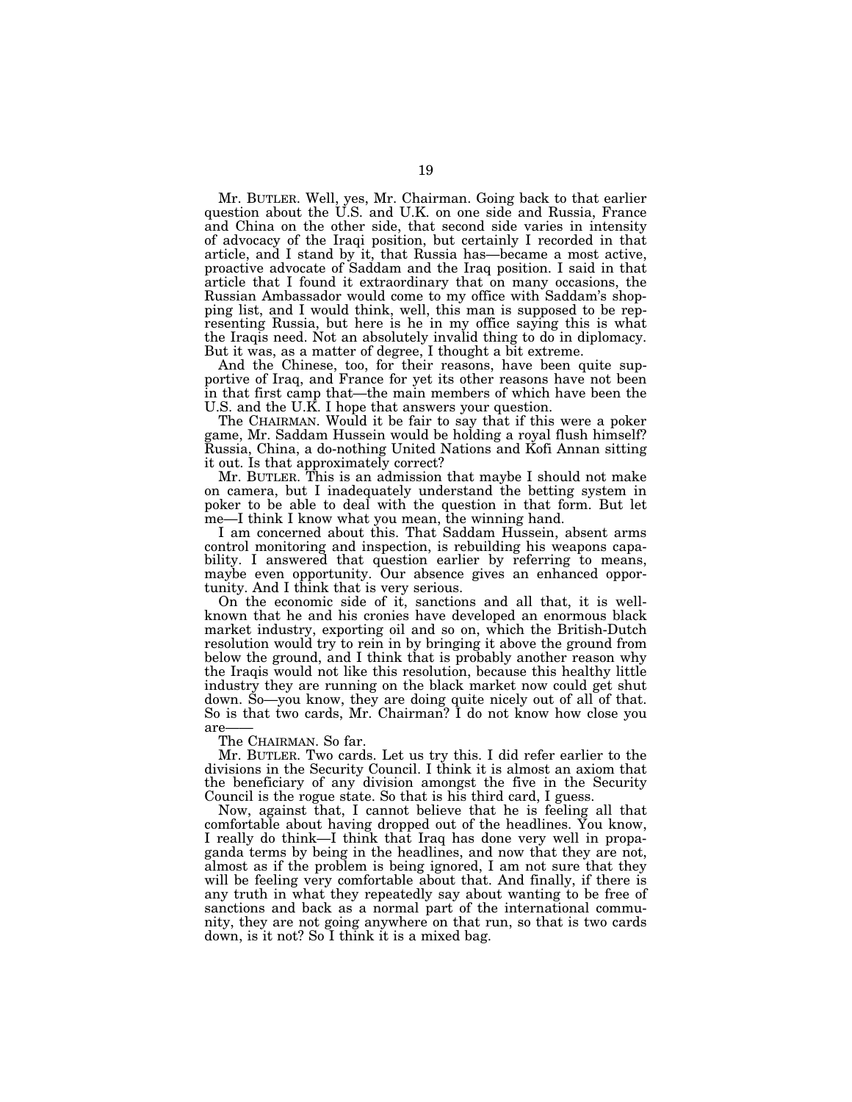Mr. BUTLER. Well, yes, Mr. Chairman. Going back to that earlier question about the U.S. and U.K. on one side and Russia, France and China on the other side, that second side varies in intensity of advocacy of the Iraqi position, but certainly I recorded in that article, and I stand by it, that Russia has—became a most active, proactive advocate of Saddam and the Iraq position. I said in that article that I found it extraordinary that on many occasions, the Russian Ambassador would come to my office with Saddam's shopping list, and I would think, well, this man is supposed to be representing Russia, but here is he in my office saying this is what the Iraqis need. Not an absolutely invalid thing to do in diplomacy. But it was, as a matter of degree, I thought a bit extreme.

And the Chinese, too, for their reasons, have been quite supportive of Iraq, and France for yet its other reasons have not been in that first camp that—the main members of which have been the U.S. and the U.K. I hope that answers your question.

The CHAIRMAN. Would it be fair to say that if this were a poker game, Mr. Saddam Hussein would be holding a royal flush himself? Russia, China, a do-nothing United Nations and Kofi Annan sitting it out. Is that approximately correct?

Mr. BUTLER. This is an admission that maybe I should not make on camera, but I inadequately understand the betting system in poker to be able to deal with the question in that form. But let me—I think I know what you mean, the winning hand.

I am concerned about this. That Saddam Hussein, absent arms control monitoring and inspection, is rebuilding his weapons capability. I answered that question earlier by referring to means, maybe even opportunity. Our absence gives an enhanced opportunity. And I think that is very serious.

On the economic side of it, sanctions and all that, it is wellknown that he and his cronies have developed an enormous black market industry, exporting oil and so on, which the British-Dutch resolution would try to rein in by bringing it above the ground from below the ground, and I think that is probably another reason why the Iraqis would not like this resolution, because this healthy little industry they are running on the black market now could get shut down. So—you know, they are doing quite nicely out of all of that. So is that two cards, Mr. Chairman? I do not know how close you are

The CHAIRMAN. So far.

Mr. BUTLER. Two cards. Let us try this. I did refer earlier to the divisions in the Security Council. I think it is almost an axiom that the beneficiary of any division amongst the five in the Security Council is the rogue state. So that is his third card, I guess.

Now, against that, I cannot believe that he is feeling all that comfortable about having dropped out of the headlines. You know, I really do think—I think that Iraq has done very well in propaganda terms by being in the headlines, and now that they are not, almost as if the problem is being ignored, I am not sure that they will be feeling very comfortable about that. And finally, if there is any truth in what they repeatedly say about wanting to be free of sanctions and back as a normal part of the international community, they are not going anywhere on that run, so that is two cards down, is it not? So I think it is a mixed bag.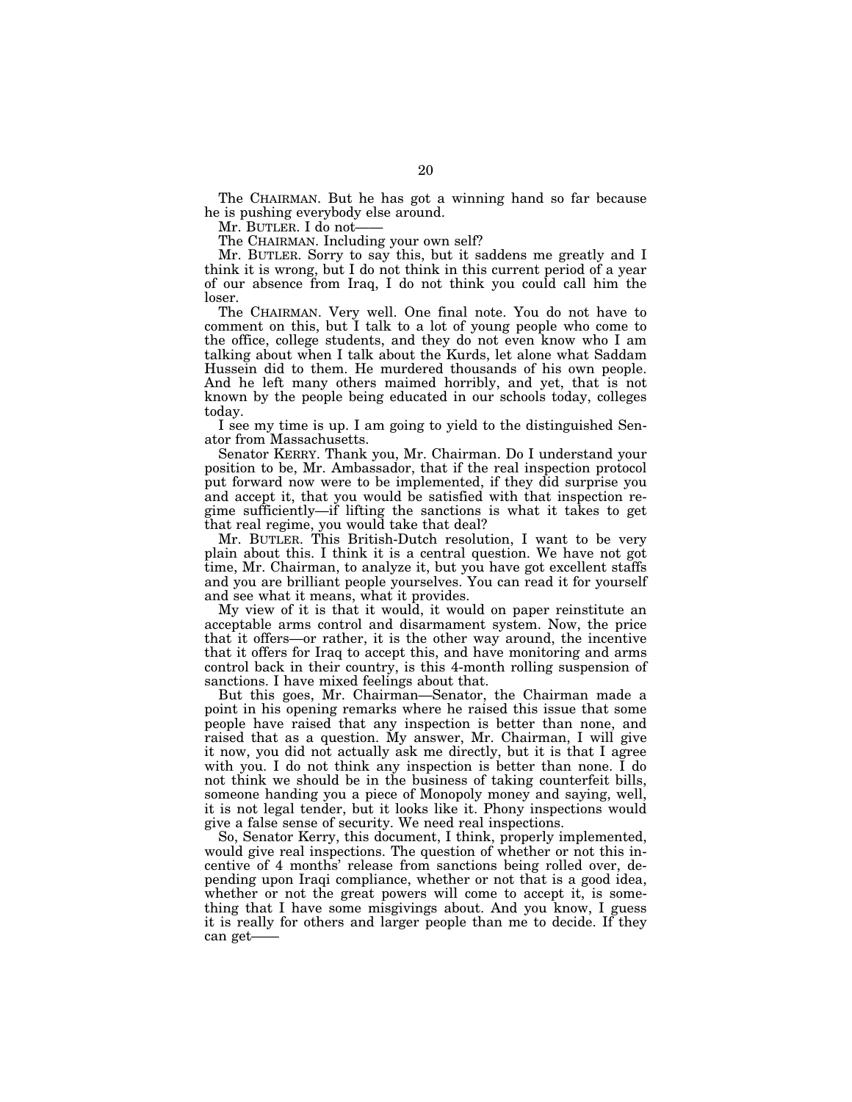The CHAIRMAN. But he has got a winning hand so far because he is pushing everybody else around.

Mr. BUTLER. I do not-

The CHAIRMAN. Including your own self?

Mr. BUTLER. Sorry to say this, but it saddens me greatly and I think it is wrong, but I do not think in this current period of a year of our absence from Iraq, I do not think you could call him the loser.

The CHAIRMAN. Very well. One final note. You do not have to comment on this, but I talk to a lot of young people who come to the office, college students, and they do not even know who I am talking about when I talk about the Kurds, let alone what Saddam Hussein did to them. He murdered thousands of his own people. And he left many others maimed horribly, and yet, that is not known by the people being educated in our schools today, colleges today.

I see my time is up. I am going to yield to the distinguished Senator from Massachusetts.

Senator KERRY. Thank you, Mr. Chairman. Do I understand your position to be, Mr. Ambassador, that if the real inspection protocol put forward now were to be implemented, if they did surprise you and accept it, that you would be satisfied with that inspection regime sufficiently—if lifting the sanctions is what it takes to get that real regime, you would take that deal?

Mr. BUTLER. This British-Dutch resolution, I want to be very plain about this. I think it is a central question. We have not got time, Mr. Chairman, to analyze it, but you have got excellent staffs and you are brilliant people yourselves. You can read it for yourself and see what it means, what it provides.

My view of it is that it would, it would on paper reinstitute an acceptable arms control and disarmament system. Now, the price that it offers—or rather, it is the other way around, the incentive that it offers for Iraq to accept this, and have monitoring and arms control back in their country, is this 4-month rolling suspension of sanctions. I have mixed feelings about that.

But this goes, Mr. Chairman—Senator, the Chairman made a point in his opening remarks where he raised this issue that some people have raised that any inspection is better than none, and raised that as a question. My answer, Mr. Chairman, I will give it now, you did not actually ask me directly, but it is that I agree with you. I do not think any inspection is better than none. I do not think we should be in the business of taking counterfeit bills, someone handing you a piece of Monopoly money and saying, well, it is not legal tender, but it looks like it. Phony inspections would give a false sense of security. We need real inspections.

So, Senator Kerry, this document, I think, properly implemented, would give real inspections. The question of whether or not this incentive of 4 months' release from sanctions being rolled over, depending upon Iraqi compliance, whether or not that is a good idea, whether or not the great powers will come to accept it, is something that I have some misgivings about. And you know, I guess it is really for others and larger people than me to decide. If they can get-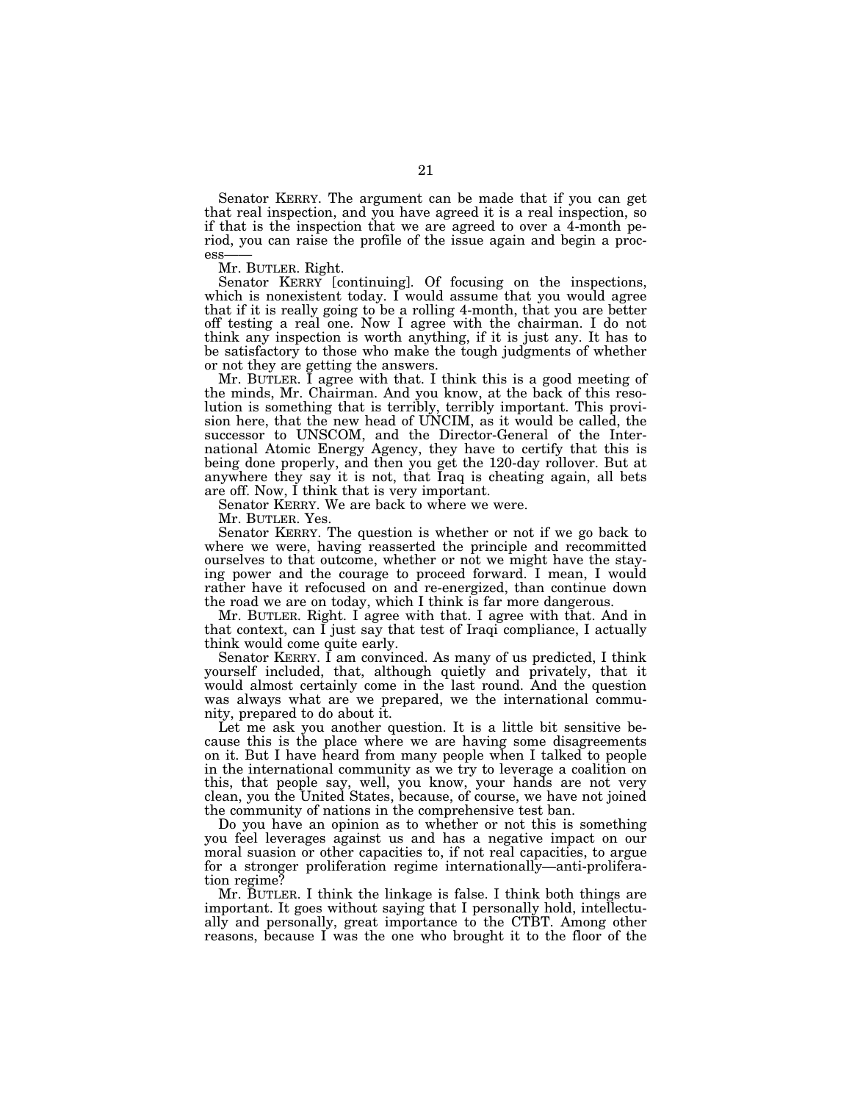Senator KERRY. The argument can be made that if you can get that real inspection, and you have agreed it is a real inspection, so if that is the inspection that we are agreed to over a 4-month period, you can raise the profile of the issue again and begin a process

Mr. BUTLER. Right.

Senator KERRY [continuing]. Of focusing on the inspections, which is nonexistent today. I would assume that you would agree that if it is really going to be a rolling 4-month, that you are better off testing a real one. Now I agree with the chairman. I do not think any inspection is worth anything, if it is just any. It has to be satisfactory to those who make the tough judgments of whether or not they are getting the answers.

Mr. BUTLER. I agree with that. I think this is a good meeting of the minds, Mr. Chairman. And you know, at the back of this resolution is something that is terribly, terribly important. This provision here, that the new head of UNCIM, as it would be called, the successor to UNSCOM, and the Director-General of the International Atomic Energy Agency, they have to certify that this is being done properly, and then you get the 120-day rollover. But at anywhere they say it is not, that Iraq is cheating again, all bets are off. Now, I think that is very important.

Senator KERRY. We are back to where we were.

Mr. BUTLER. Yes.

Senator KERRY. The question is whether or not if we go back to where we were, having reasserted the principle and recommitted ourselves to that outcome, whether or not we might have the staying power and the courage to proceed forward. I mean, I would rather have it refocused on and re-energized, than continue down the road we are on today, which I think is far more dangerous.

Mr. BUTLER. Right. I agree with that. I agree with that. And in that context, can  $\tilde{I}$  just say that test of Iraqi compliance, I actually think would come quite early.

Senator KERRY. I am convinced. As many of us predicted, I think yourself included, that, although quietly and privately, that it would almost certainly come in the last round. And the question was always what are we prepared, we the international community, prepared to do about it.

Let me ask you another question. It is a little bit sensitive because this is the place where we are having some disagreements on it. But I have heard from many people when I talked to people in the international community as we try to leverage a coalition on this, that people say, well, you know, your hands are not very clean, you the United States, because, of course, we have not joined the community of nations in the comprehensive test ban.

Do you have an opinion as to whether or not this is something you feel leverages against us and has a negative impact on our moral suasion or other capacities to, if not real capacities, to argue for a stronger proliferation regime internationally—anti-proliferation regime?

Mr. BUTLER. I think the linkage is false. I think both things are important. It goes without saying that I personally hold, intellectually and personally, great importance to the CTBT. Among other reasons, because I was the one who brought it to the floor of the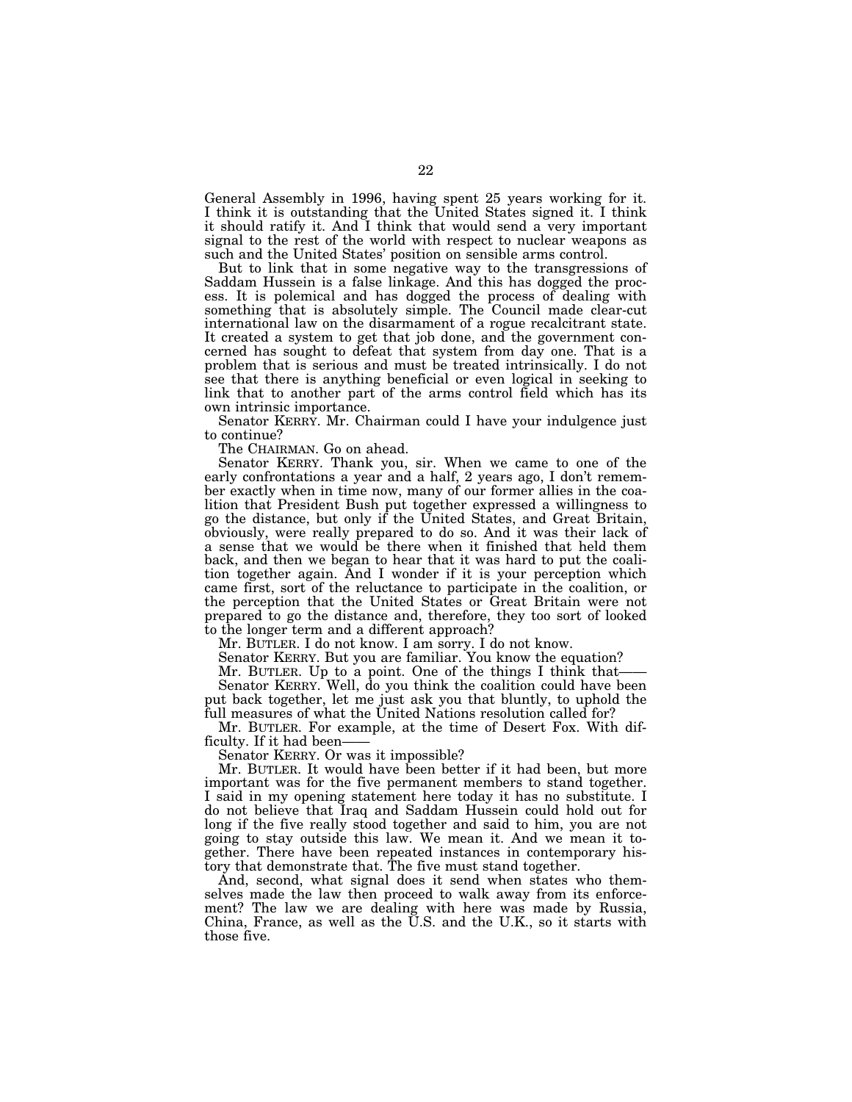General Assembly in 1996, having spent 25 years working for it. I think it is outstanding that the United States signed it. I think it should ratify it. And I think that would send a very important signal to the rest of the world with respect to nuclear weapons as such and the United States' position on sensible arms control.

But to link that in some negative way to the transgressions of Saddam Hussein is a false linkage. And this has dogged the process. It is polemical and has dogged the process of dealing with something that is absolutely simple. The Council made clear-cut international law on the disarmament of a rogue recalcitrant state. It created a system to get that job done, and the government concerned has sought to defeat that system from day one. That is a problem that is serious and must be treated intrinsically. I do not see that there is anything beneficial or even logical in seeking to link that to another part of the arms control field which has its own intrinsic importance.

Senator KERRY. Mr. Chairman could I have your indulgence just to continue?

The CHAIRMAN. Go on ahead.

Senator KERRY. Thank you, sir. When we came to one of the early confrontations a year and a half, 2 years ago, I don't remember exactly when in time now, many of our former allies in the coalition that President Bush put together expressed a willingness to go the distance, but only if the United States, and Great Britain, obviously, were really prepared to do so. And it was their lack of a sense that we would be there when it finished that held them back, and then we began to hear that it was hard to put the coalition together again. And I wonder if it is your perception which came first, sort of the reluctance to participate in the coalition, or the perception that the United States or Great Britain were not prepared to go the distance and, therefore, they too sort of looked to the longer term and a different approach?

Mr. BUTLER. I do not know. I am sorry. I do not know.

Senator KERRY. But you are familiar. You know the equation?

Mr. BUTLER. Up to a point. One of the things I think that—— Senator KERRY. Well, do you think the coalition could have been

put back together, let me just ask you that bluntly, to uphold the full measures of what the United Nations resolution called for?

Mr. BUTLER. For example, at the time of Desert Fox. With difficulty. If it had been-

Senator KERRY. Or was it impossible?

Mr. BUTLER. It would have been better if it had been, but more important was for the five permanent members to stand together. I said in my opening statement here today it has no substitute. I do not believe that Iraq and Saddam Hussein could hold out for long if the five really stood together and said to him, you are not going to stay outside this law. We mean it. And we mean it together. There have been repeated instances in contemporary history that demonstrate that. The five must stand together.

And, second, what signal does it send when states who themselves made the law then proceed to walk away from its enforcement? The law we are dealing with here was made by Russia, China, France, as well as the U.S. and the U.K., so it starts with those five.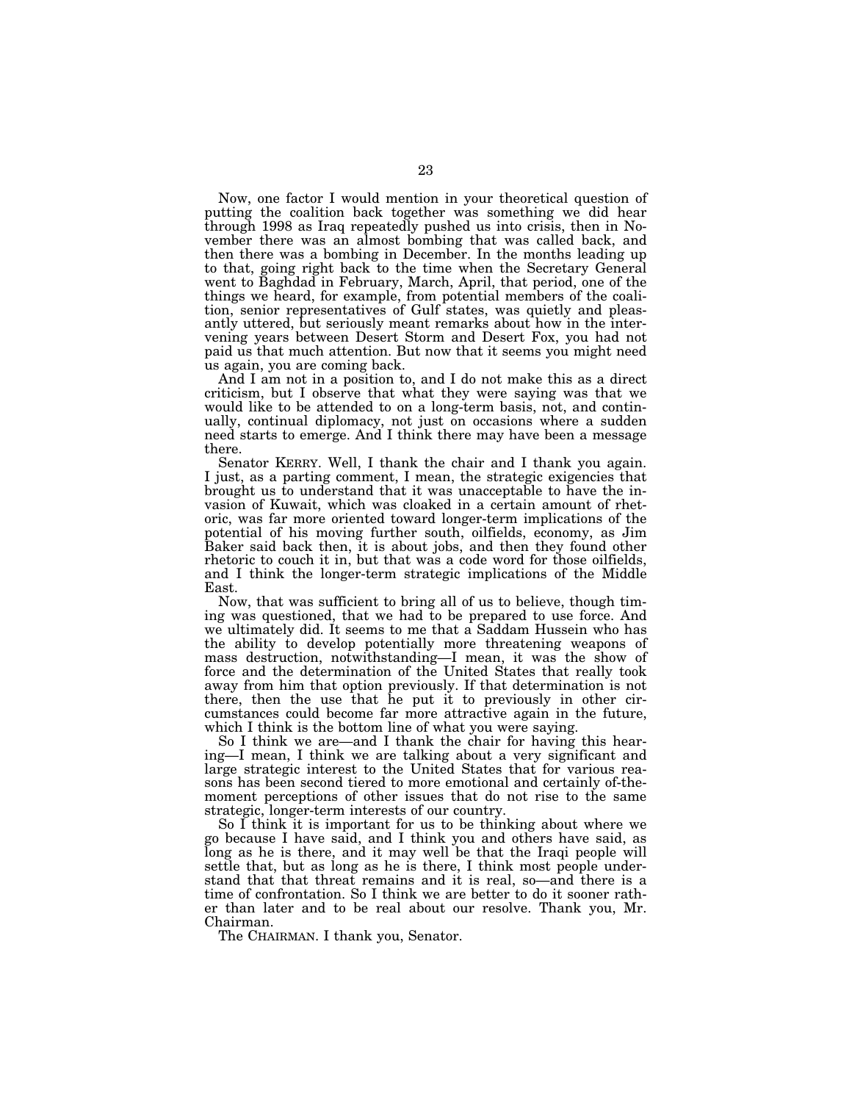Now, one factor I would mention in your theoretical question of putting the coalition back together was something we did hear through 1998 as Iraq repeatedly pushed us into crisis, then in November there was an almost bombing that was called back, and then there was a bombing in December. In the months leading up to that, going right back to the time when the Secretary General went to Baghdad in February, March, April, that period, one of the things we heard, for example, from potential members of the coalition, senior representatives of Gulf states, was quietly and pleasantly uttered, but seriously meant remarks about how in the intervening years between Desert Storm and Desert Fox, you had not paid us that much attention. But now that it seems you might need us again, you are coming back.

And I am not in a position to, and I do not make this as a direct criticism, but I observe that what they were saying was that we would like to be attended to on a long-term basis, not, and continually, continual diplomacy, not just on occasions where a sudden need starts to emerge. And I think there may have been a message there.

Senator KERRY. Well, I thank the chair and I thank you again. I just, as a parting comment, I mean, the strategic exigencies that brought us to understand that it was unacceptable to have the invasion of Kuwait, which was cloaked in a certain amount of rhetoric, was far more oriented toward longer-term implications of the potential of his moving further south, oilfields, economy, as Jim Baker said back then, it is about jobs, and then they found other rhetoric to couch it in, but that was a code word for those oilfields, and I think the longer-term strategic implications of the Middle East.

Now, that was sufficient to bring all of us to believe, though timing was questioned, that we had to be prepared to use force. And we ultimately did. It seems to me that a Saddam Hussein who has the ability to develop potentially more threatening weapons of mass destruction, notwithstanding—I mean, it was the show of force and the determination of the United States that really took away from him that option previously. If that determination is not there, then the use that he put it to previously in other circumstances could become far more attractive again in the future, which I think is the bottom line of what you were saying.

So I think we are—and I thank the chair for having this hearing—I mean, I think we are talking about a very significant and large strategic interest to the United States that for various reasons has been second tiered to more emotional and certainly of-themoment perceptions of other issues that do not rise to the same strategic, longer-term interests of our country.

So I think it is important for us to be thinking about where we go because I have said, and I think you and others have said, as long as he is there, and it may well be that the Iraqi people will settle that, but as long as he is there, I think most people understand that that threat remains and it is real, so—and there is a time of confrontation. So I think we are better to do it sooner rather than later and to be real about our resolve. Thank you, Mr. Chairman.

The CHAIRMAN. I thank you, Senator.